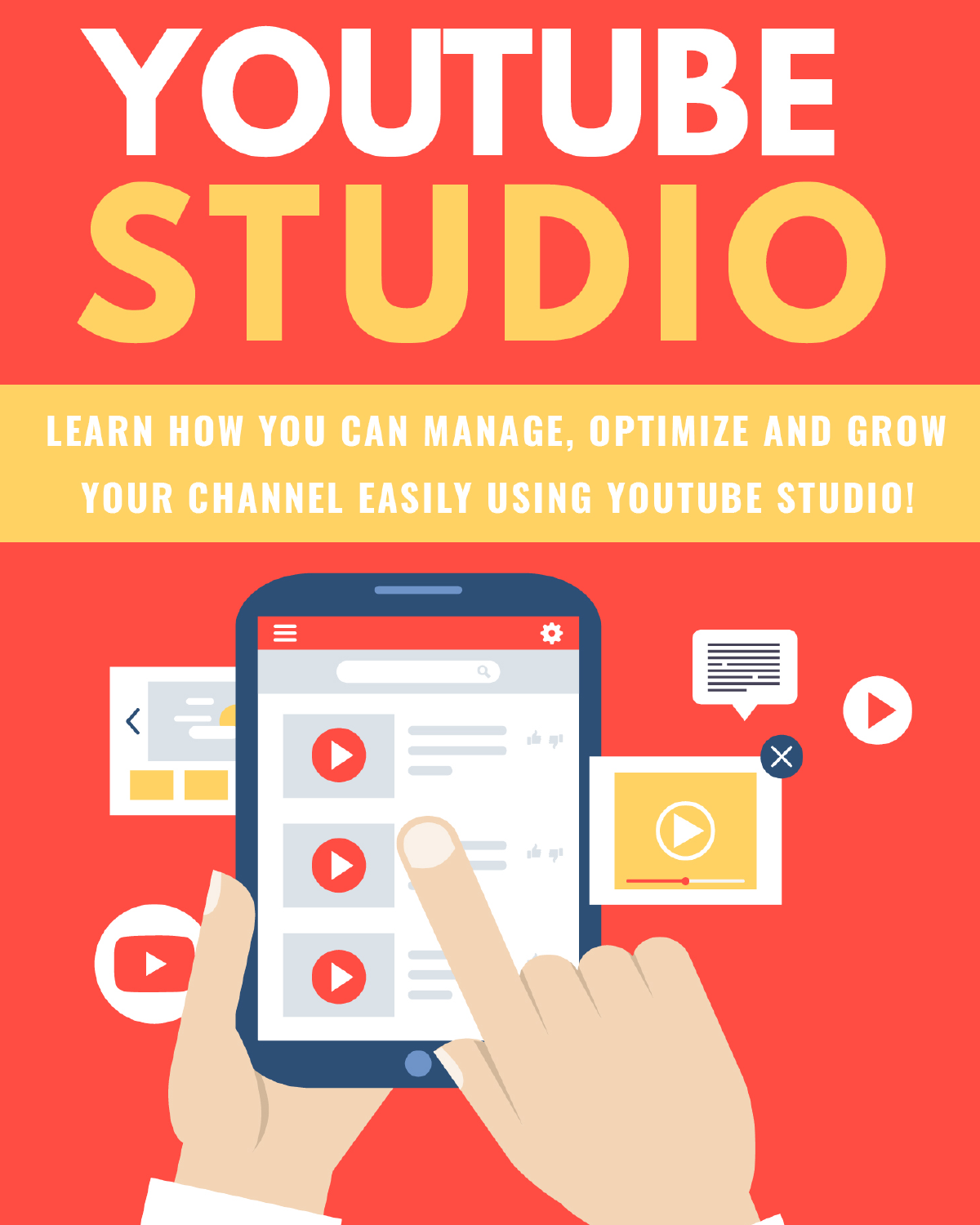# OUTUBE

## LEARN HOW YOU CAN MANAGE, OPTIMIZE AND GROW **YOUR CHANNEL EASILY USING YOUTUBE STUDIO!**

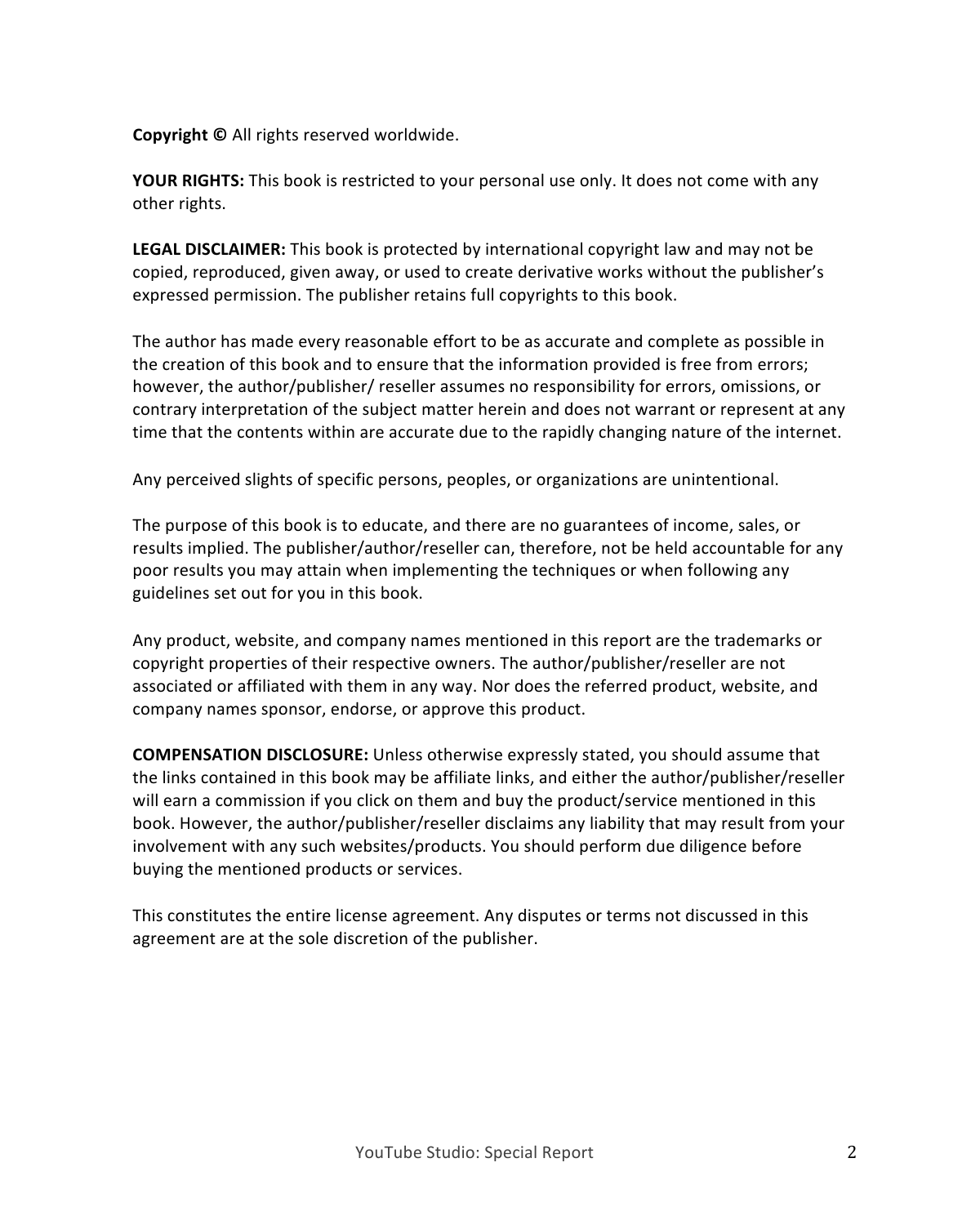**Copyright © All rights reserved worldwide.** 

**YOUR RIGHTS:** This book is restricted to your personal use only. It does not come with any other rights.

**LEGAL DISCLAIMER:** This book is protected by international copyright law and may not be copied, reproduced, given away, or used to create derivative works without the publisher's expressed permission. The publisher retains full copyrights to this book.

The author has made every reasonable effort to be as accurate and complete as possible in the creation of this book and to ensure that the information provided is free from errors; however, the author/publisher/ reseller assumes no responsibility for errors, omissions, or contrary interpretation of the subject matter herein and does not warrant or represent at any time that the contents within are accurate due to the rapidly changing nature of the internet.

Any perceived slights of specific persons, peoples, or organizations are unintentional.

The purpose of this book is to educate, and there are no guarantees of income, sales, or results implied. The publisher/author/reseller can, therefore, not be held accountable for any poor results you may attain when implementing the techniques or when following any guidelines set out for you in this book.

Any product, website, and company names mentioned in this report are the trademarks or copyright properties of their respective owners. The author/publisher/reseller are not associated or affiliated with them in any way. Nor does the referred product, website, and company names sponsor, endorse, or approve this product.

**COMPENSATION DISCLOSURE:** Unless otherwise expressly stated, you should assume that the links contained in this book may be affiliate links, and either the author/publisher/reseller will earn a commission if you click on them and buy the product/service mentioned in this book. However, the author/publisher/reseller disclaims any liability that may result from your involvement with any such websites/products. You should perform due diligence before buying the mentioned products or services.

This constitutes the entire license agreement. Any disputes or terms not discussed in this agreement are at the sole discretion of the publisher.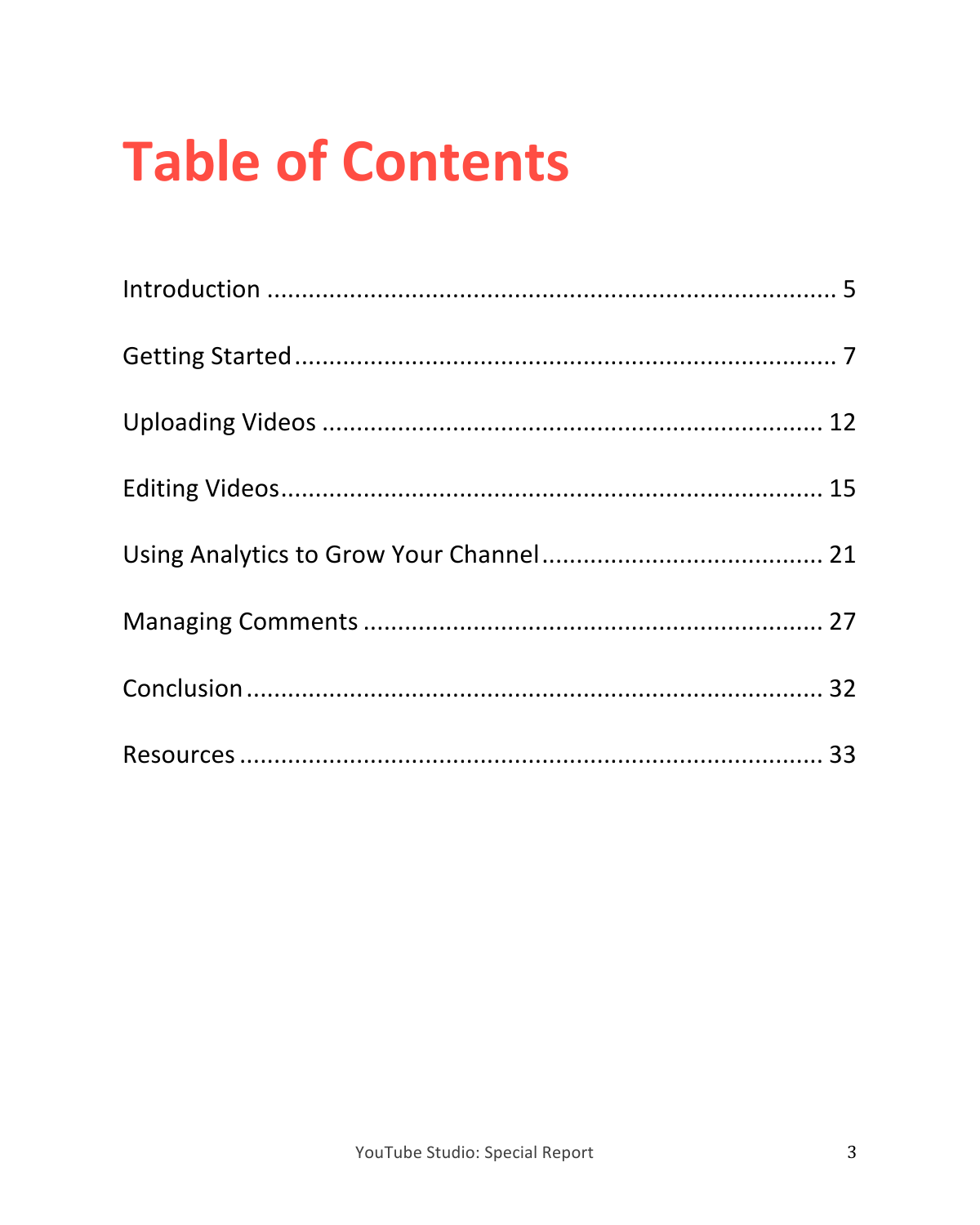# **Table of Contents**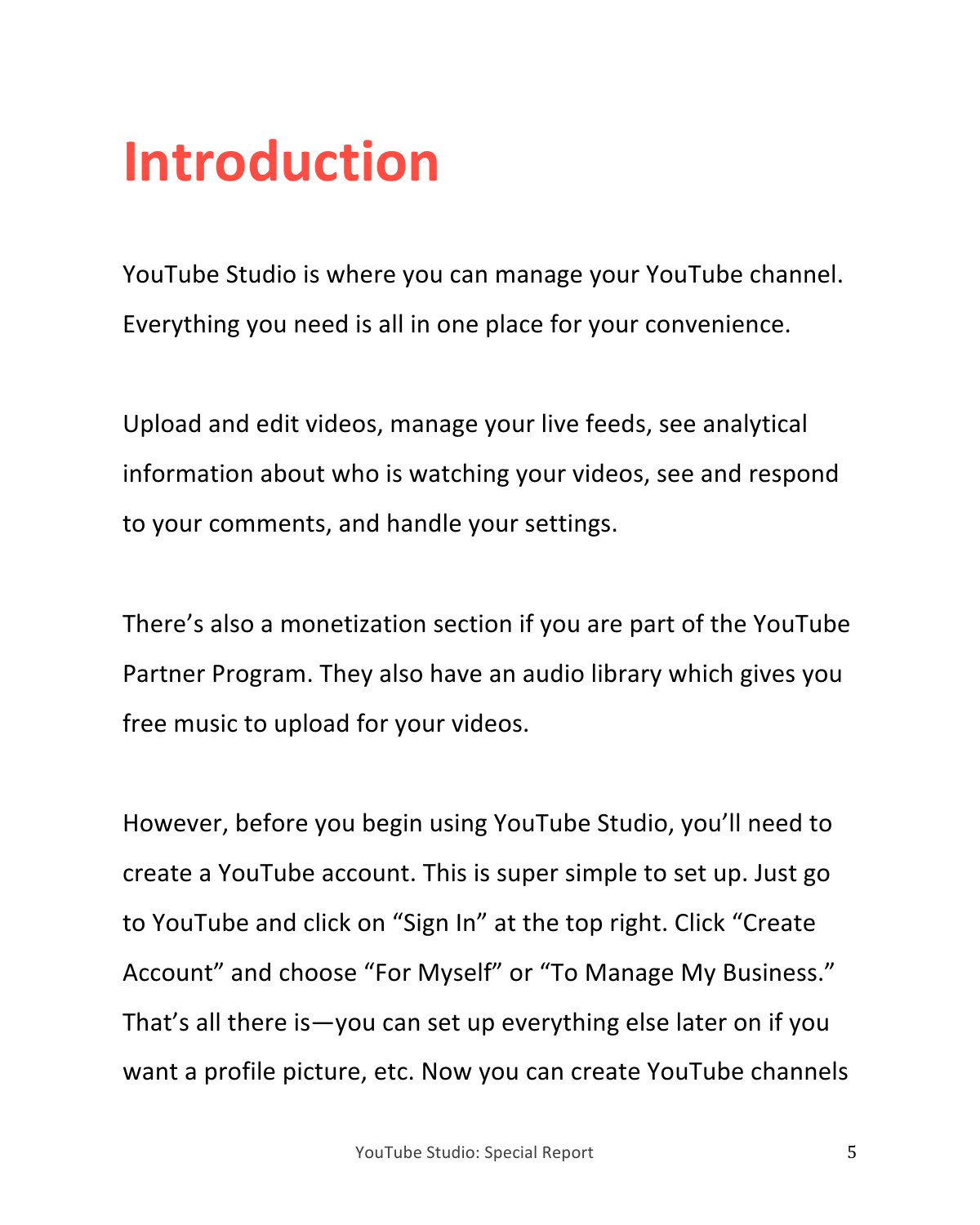## **Introduction**

YouTube Studio is where you can manage your YouTube channel. Everything you need is all in one place for your convenience.

Upload and edit videos, manage your live feeds, see analytical information about who is watching your videos, see and respond to your comments, and handle your settings.

There's also a monetization section if you are part of the YouTube Partner Program. They also have an audio library which gives you free music to upload for your videos.

However, before you begin using YouTube Studio, you'll need to create a YouTube account. This is super simple to set up. Just go to YouTube and click on "Sign In" at the top right. Click "Create Account" and choose "For Myself" or "To Manage My Business." That's all there is—you can set up everything else later on if you want a profile picture, etc. Now you can create YouTube channels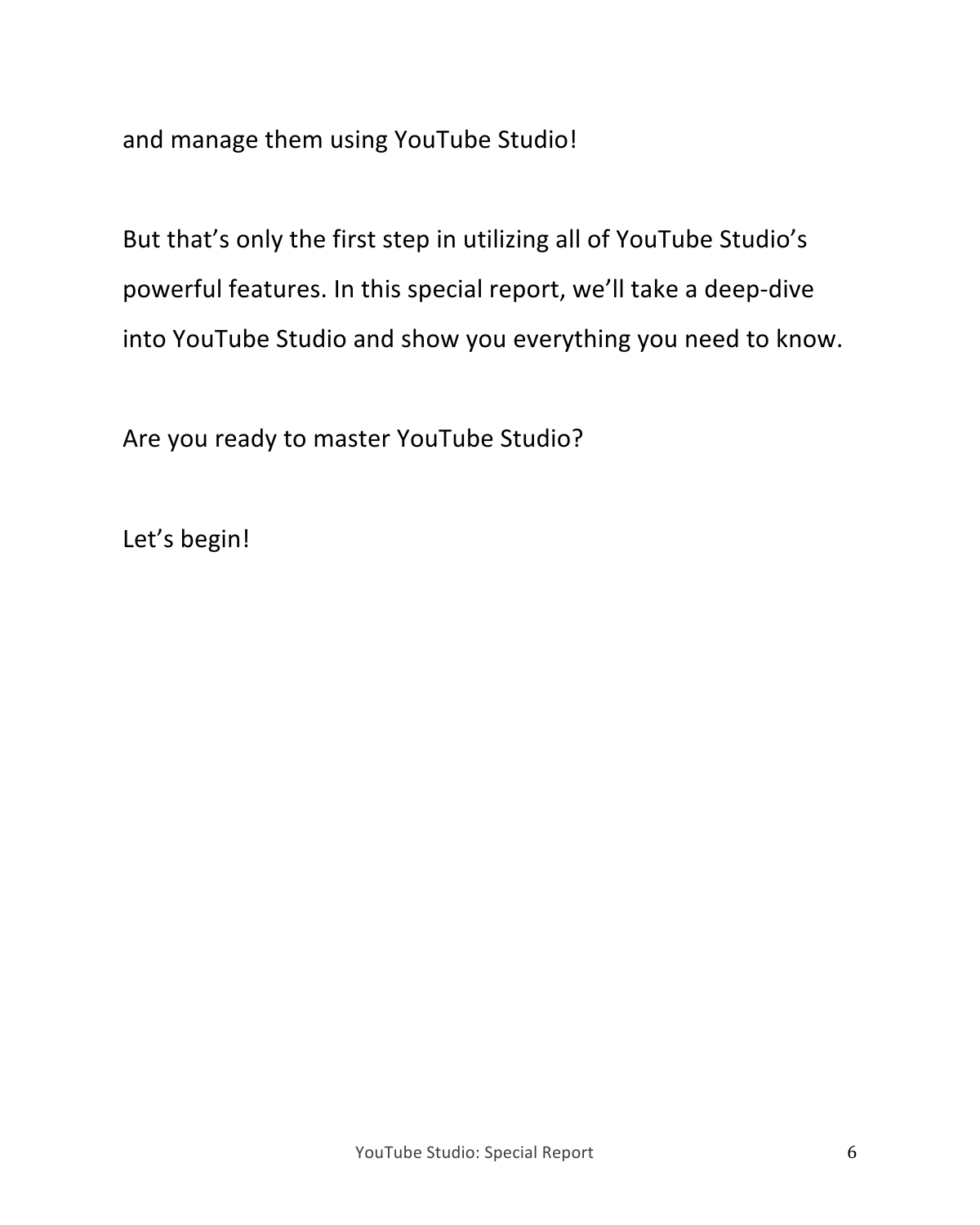and manage them using YouTube Studio!

But that's only the first step in utilizing all of YouTube Studio's powerful features. In this special report, we'll take a deep-dive into YouTube Studio and show you everything you need to know.

Are you ready to master YouTube Studio?

Let's begin!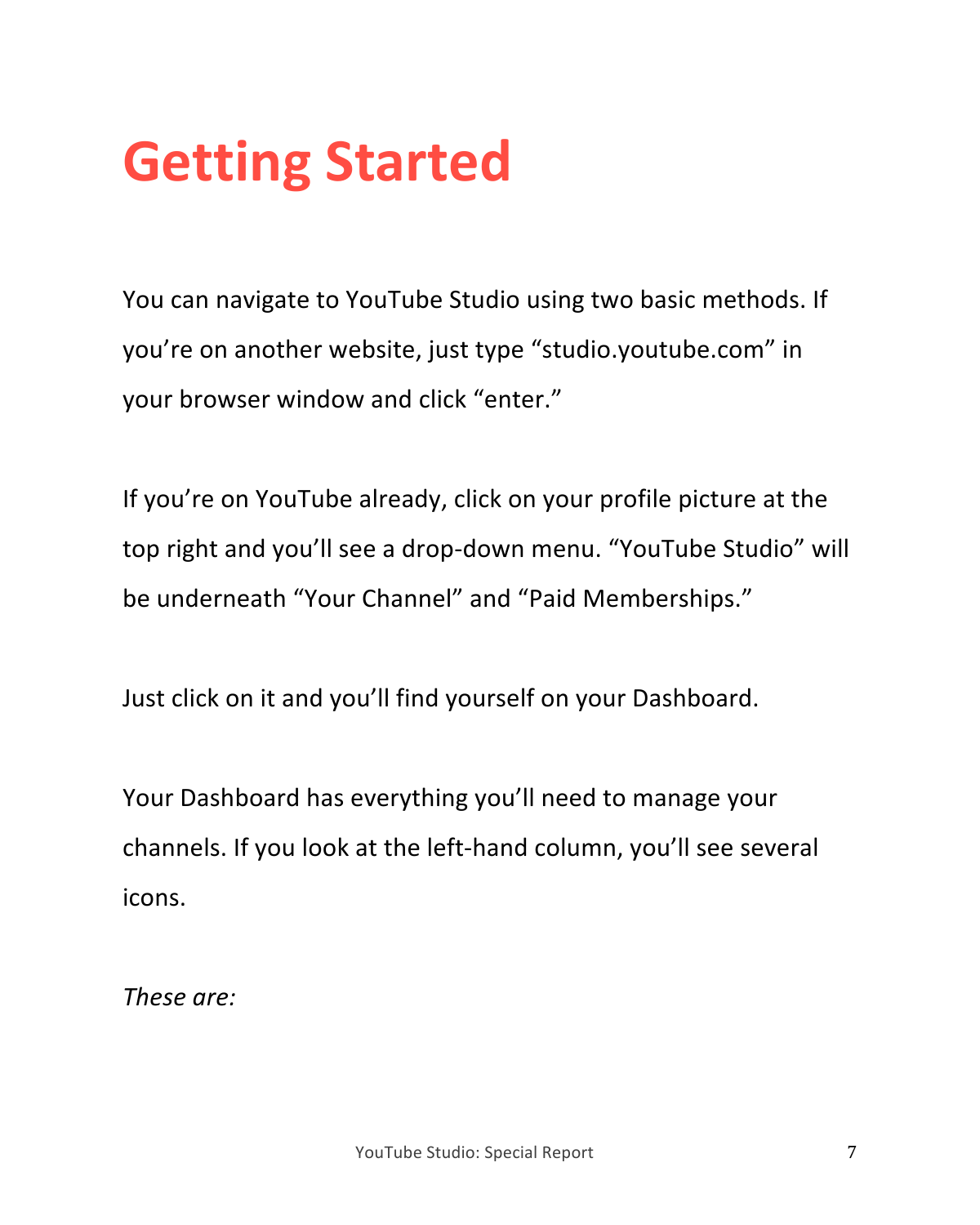## **Getting Started**

You can navigate to YouTube Studio using two basic methods. If you're on another website, just type "studio.youtube.com" in your browser window and click "enter."

If you're on YouTube already, click on your profile picture at the top right and you'll see a drop-down menu. "YouTube Studio" will be underneath "Your Channel" and "Paid Memberships."

Just click on it and you'll find yourself on your Dashboard.

Your Dashboard has everything you'll need to manage your channels. If you look at the left-hand column, you'll see several icons. 

*These are:*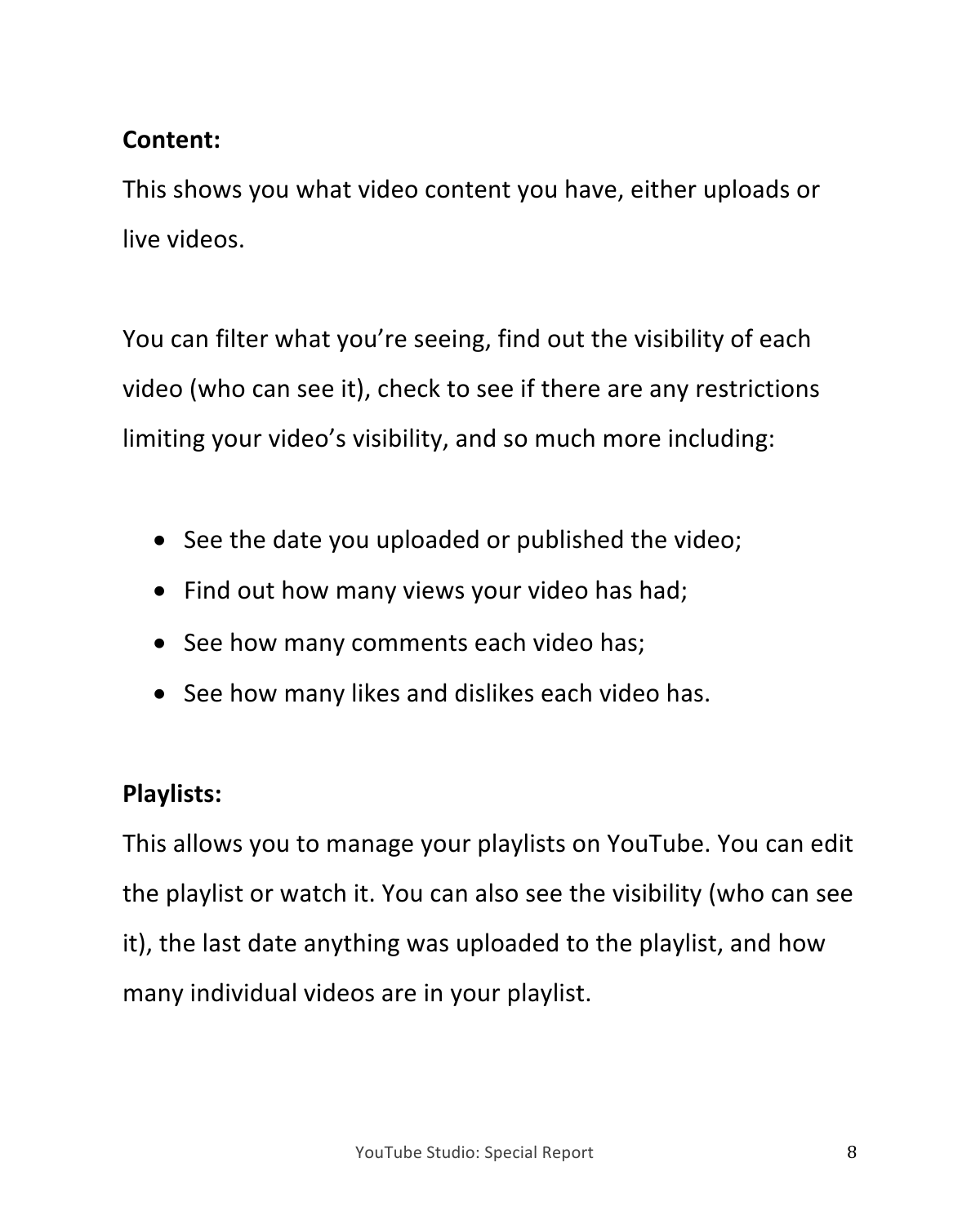#### **Content:**

This shows you what video content you have, either uploads or live videos.

You can filter what you're seeing, find out the visibility of each video (who can see it), check to see if there are any restrictions limiting your video's visibility, and so much more including:

- See the date you uploaded or published the video;
- Find out how many views your video has had;
- See how many comments each video has;
- See how many likes and dislikes each video has.

#### **Playlists:**

This allows you to manage your playlists on YouTube. You can edit the playlist or watch it. You can also see the visibility (who can see it), the last date anything was uploaded to the playlist, and how many individual videos are in your playlist.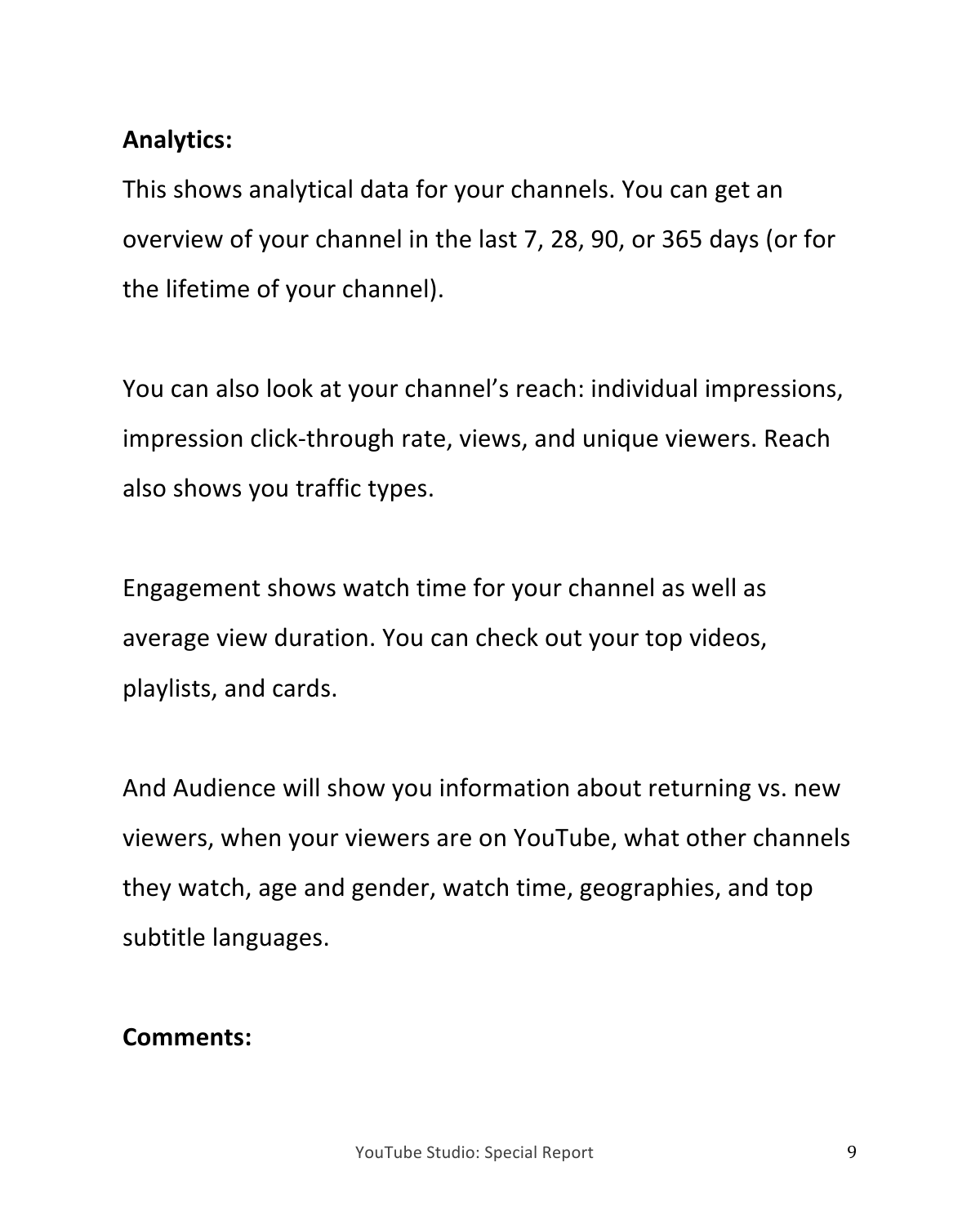#### **Analytics:**

This shows analytical data for your channels. You can get an overview of your channel in the last 7, 28, 90, or 365 days (or for the lifetime of your channel).

You can also look at your channel's reach: individual impressions, impression click-through rate, views, and unique viewers. Reach also shows you traffic types.

Engagement shows watch time for your channel as well as average view duration. You can check out your top videos, playlists, and cards.

And Audience will show you information about returning vs. new viewers, when your viewers are on YouTube, what other channels they watch, age and gender, watch time, geographies, and top subtitle languages.

#### **Comments:**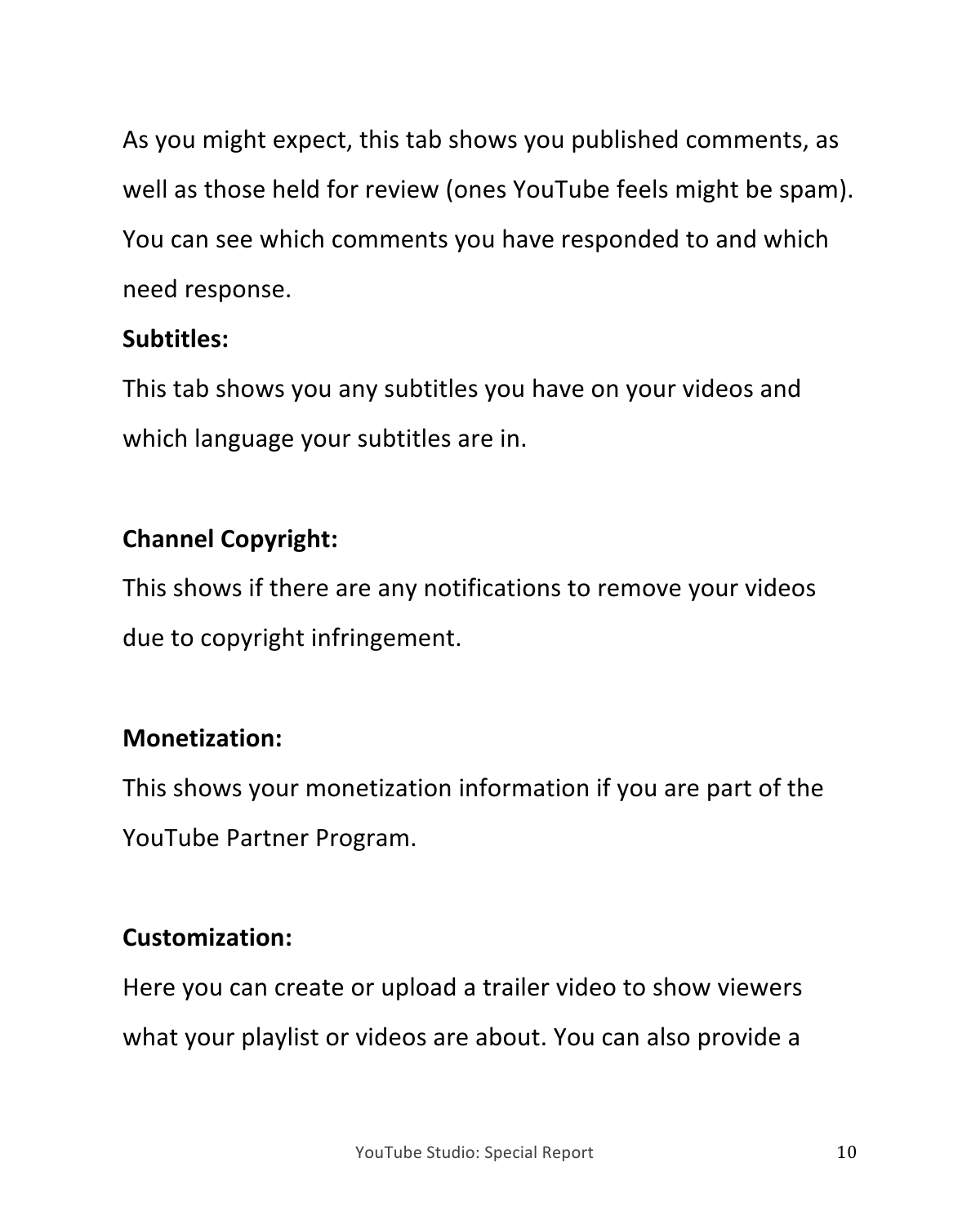As you might expect, this tab shows you published comments, as well as those held for review (ones YouTube feels might be spam). You can see which comments you have responded to and which need response.

#### **Subtitles:**

This tab shows you any subtitles you have on your videos and which language your subtitles are in.

#### **Channel Copyright:**

This shows if there are any notifications to remove your videos due to copyright infringement.

#### **Monetization:**

This shows your monetization information if you are part of the YouTube Partner Program.

#### **Customization:**

Here you can create or upload a trailer video to show viewers what your playlist or videos are about. You can also provide a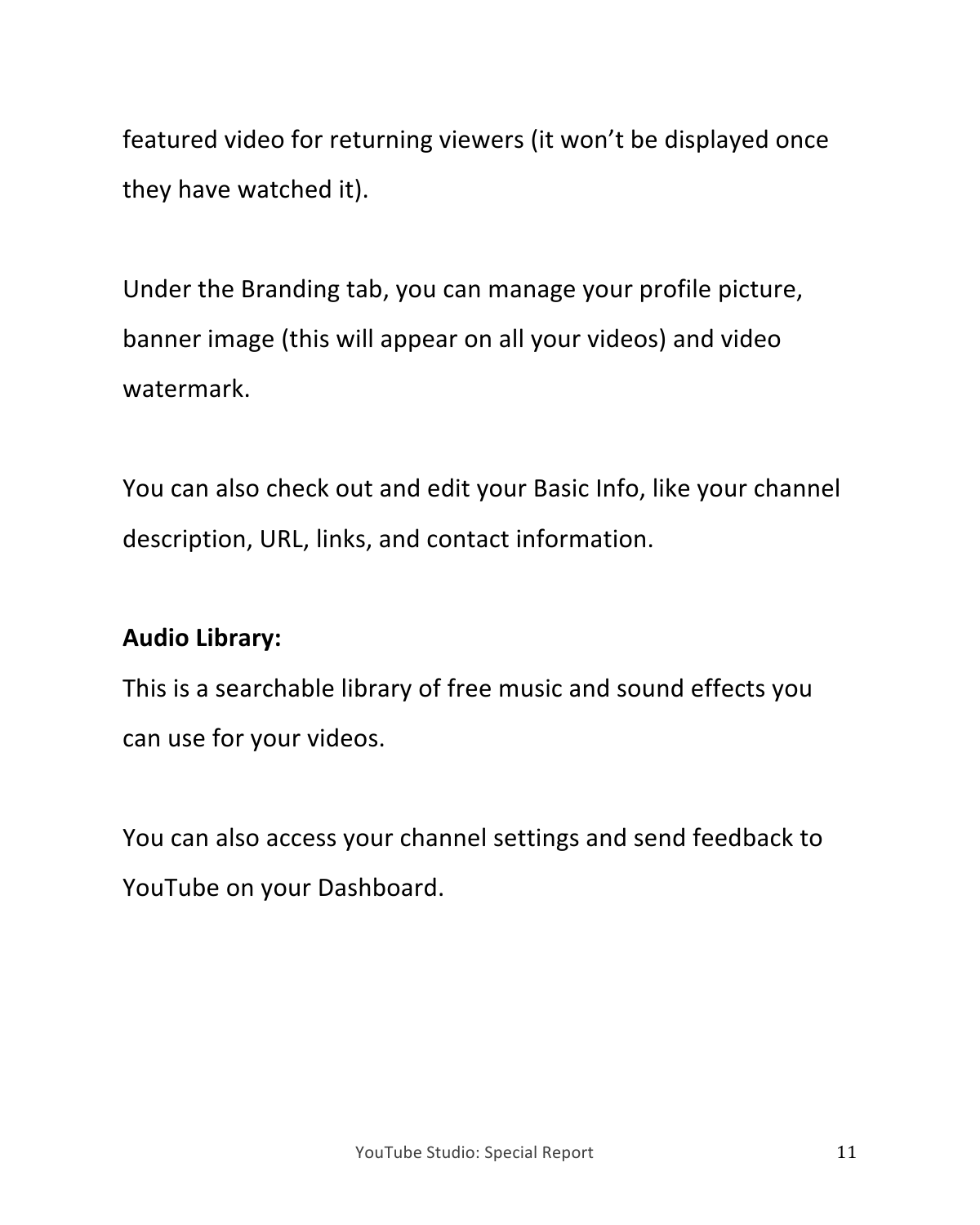featured video for returning viewers (it won't be displayed once they have watched it).

Under the Branding tab, you can manage your profile picture, banner image (this will appear on all your videos) and video watermark. 

You can also check out and edit your Basic Info, like your channel description, URL, links, and contact information.

#### **Audio Library:**

This is a searchable library of free music and sound effects you can use for your videos.

You can also access your channel settings and send feedback to YouTube on your Dashboard.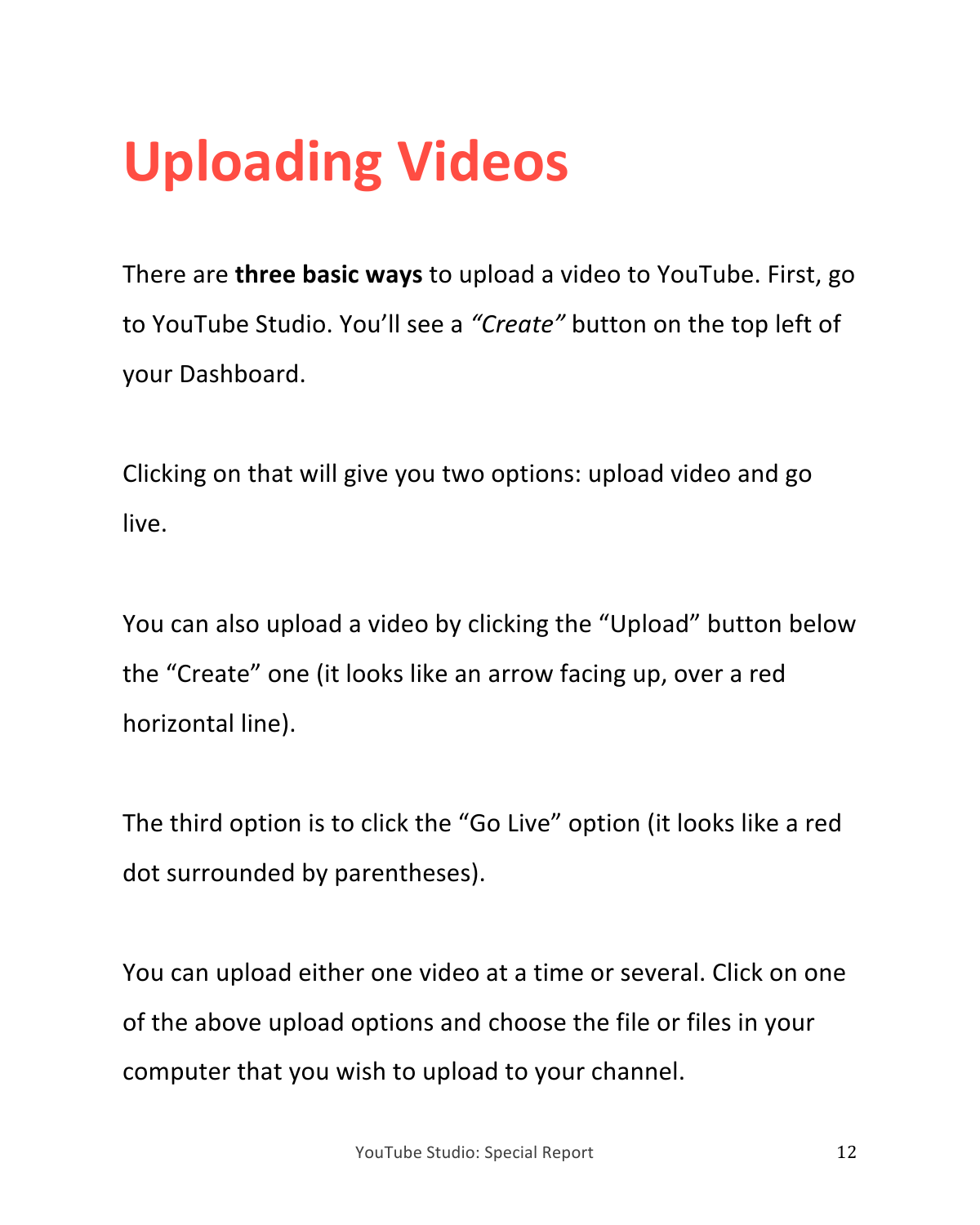## **Uploading Videos**

There are **three basic ways** to upload a video to YouTube. First, go to YouTube Studio. You'll see a "Create" button on the top left of your Dashboard.

Clicking on that will give you two options: upload video and go live. 

You can also upload a video by clicking the "Upload" button below the "Create" one (it looks like an arrow facing up, over a red horizontal line).

The third option is to click the "Go Live" option (it looks like a red dot surrounded by parentheses).

You can upload either one video at a time or several. Click on one of the above upload options and choose the file or files in your computer that you wish to upload to your channel.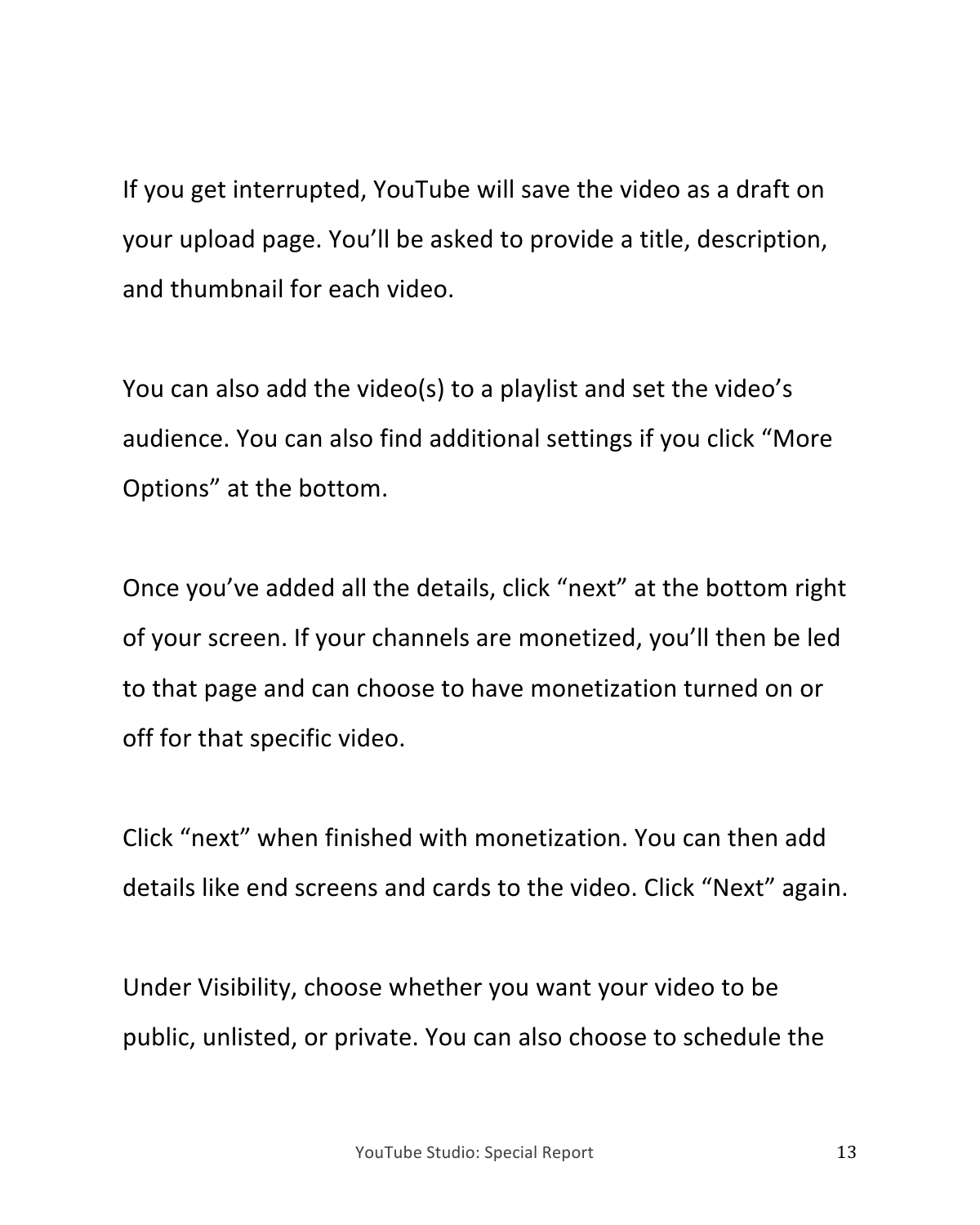If you get interrupted, YouTube will save the video as a draft on your upload page. You'll be asked to provide a title, description, and thumbnail for each video.

You can also add the video(s) to a playlist and set the video's audience. You can also find additional settings if you click "More Options" at the bottom.

Once you've added all the details, click "next" at the bottom right of your screen. If your channels are monetized, you'll then be led to that page and can choose to have monetization turned on or off for that specific video.

Click "next" when finished with monetization. You can then add details like end screens and cards to the video. Click "Next" again.

Under Visibility, choose whether you want your video to be public, unlisted, or private. You can also choose to schedule the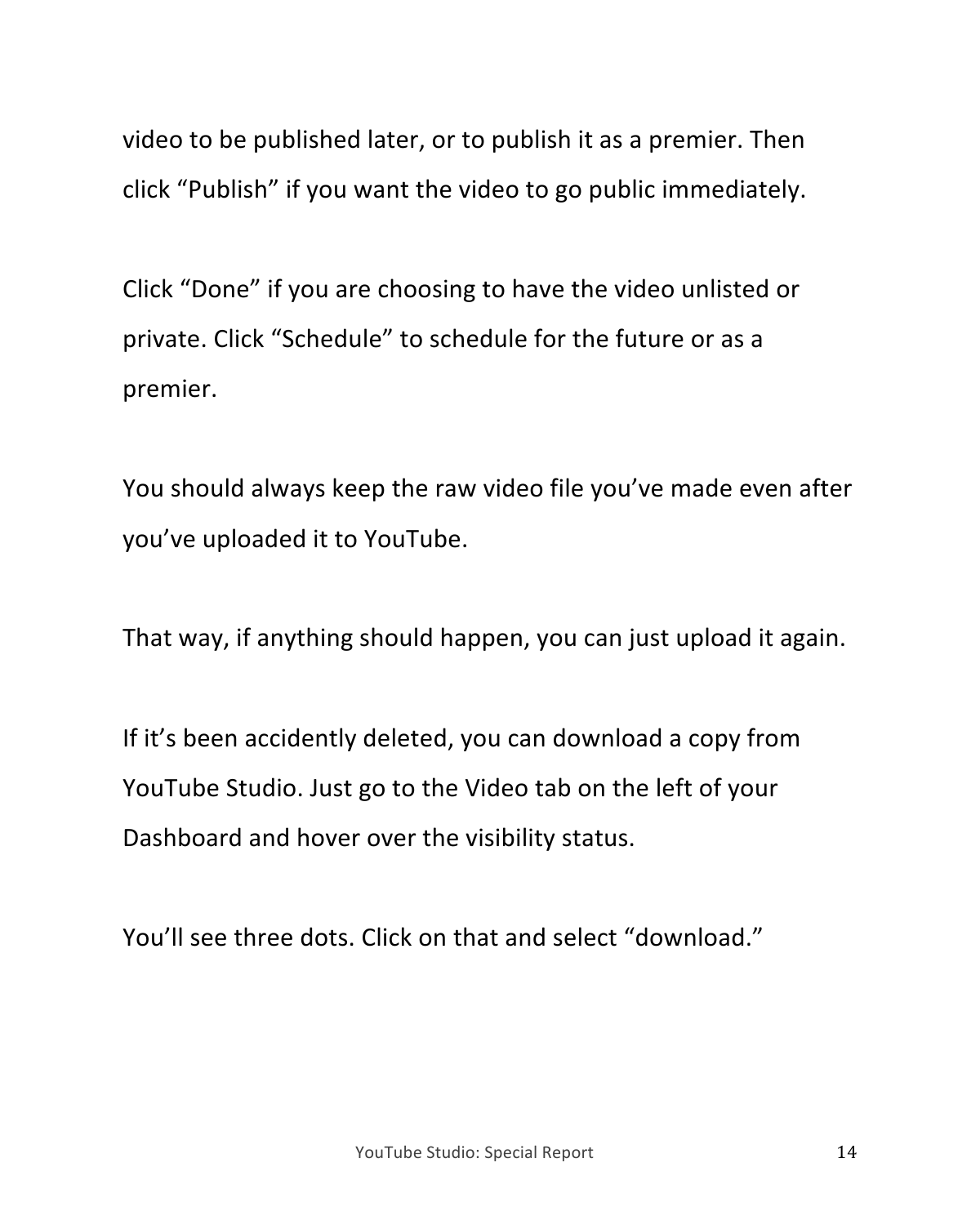video to be published later, or to publish it as a premier. Then click "Publish" if you want the video to go public immediately.

Click "Done" if you are choosing to have the video unlisted or private. Click "Schedule" to schedule for the future or as a premier.

You should always keep the raw video file you've made even after you've uploaded it to YouTube.

That way, if anything should happen, you can just upload it again.

If it's been accidently deleted, you can download a copy from YouTube Studio. Just go to the Video tab on the left of your Dashboard and hover over the visibility status.

You'll see three dots. Click on that and select "download."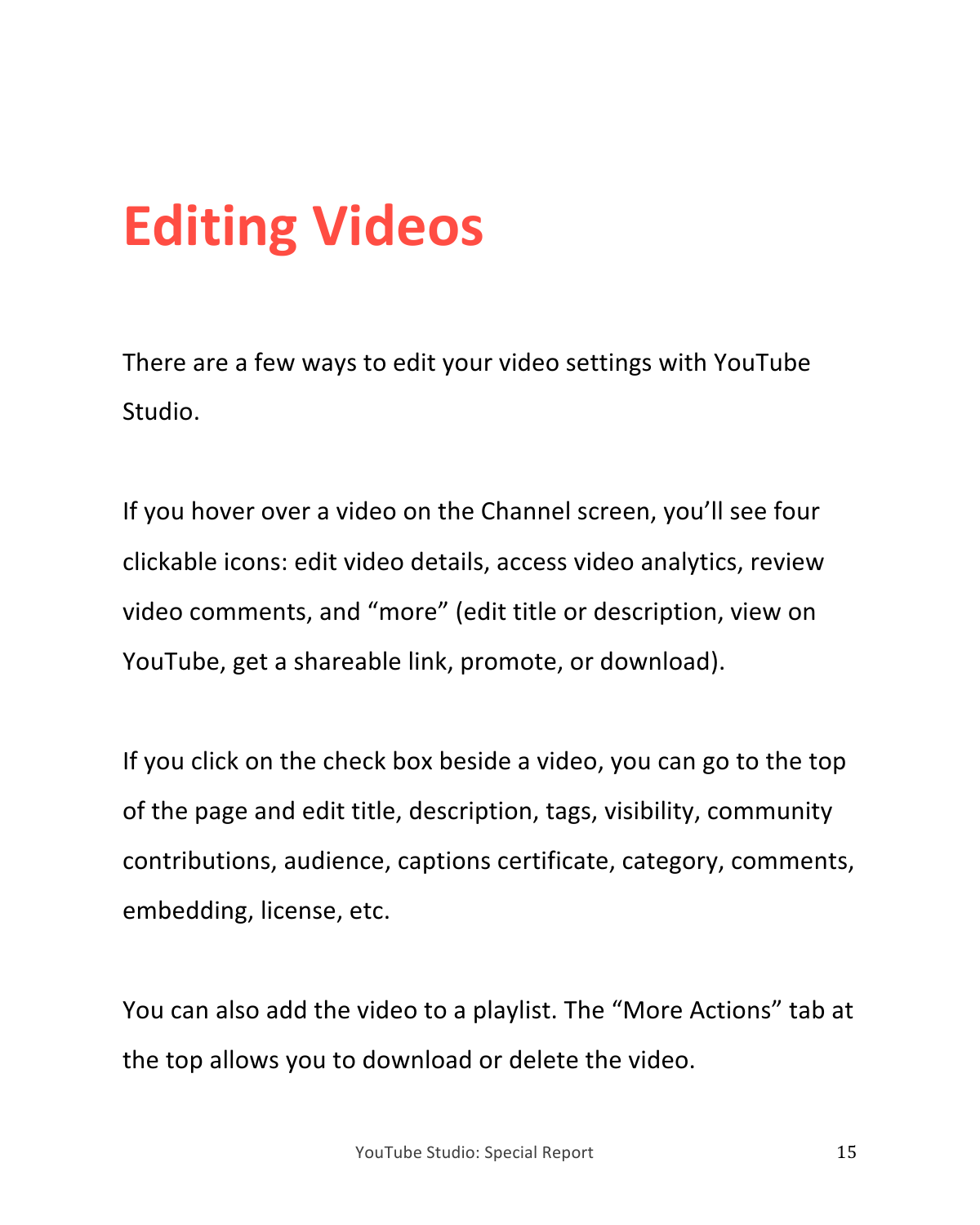## **Editing Videos**

There are a few ways to edit your video settings with YouTube Studio. 

If you hover over a video on the Channel screen, you'll see four clickable icons: edit video details, access video analytics, review video comments, and "more" (edit title or description, view on YouTube, get a shareable link, promote, or download).

If you click on the check box beside a video, you can go to the top of the page and edit title, description, tags, visibility, community contributions, audience, captions certificate, category, comments, embedding, license, etc.

You can also add the video to a playlist. The "More Actions" tab at the top allows you to download or delete the video.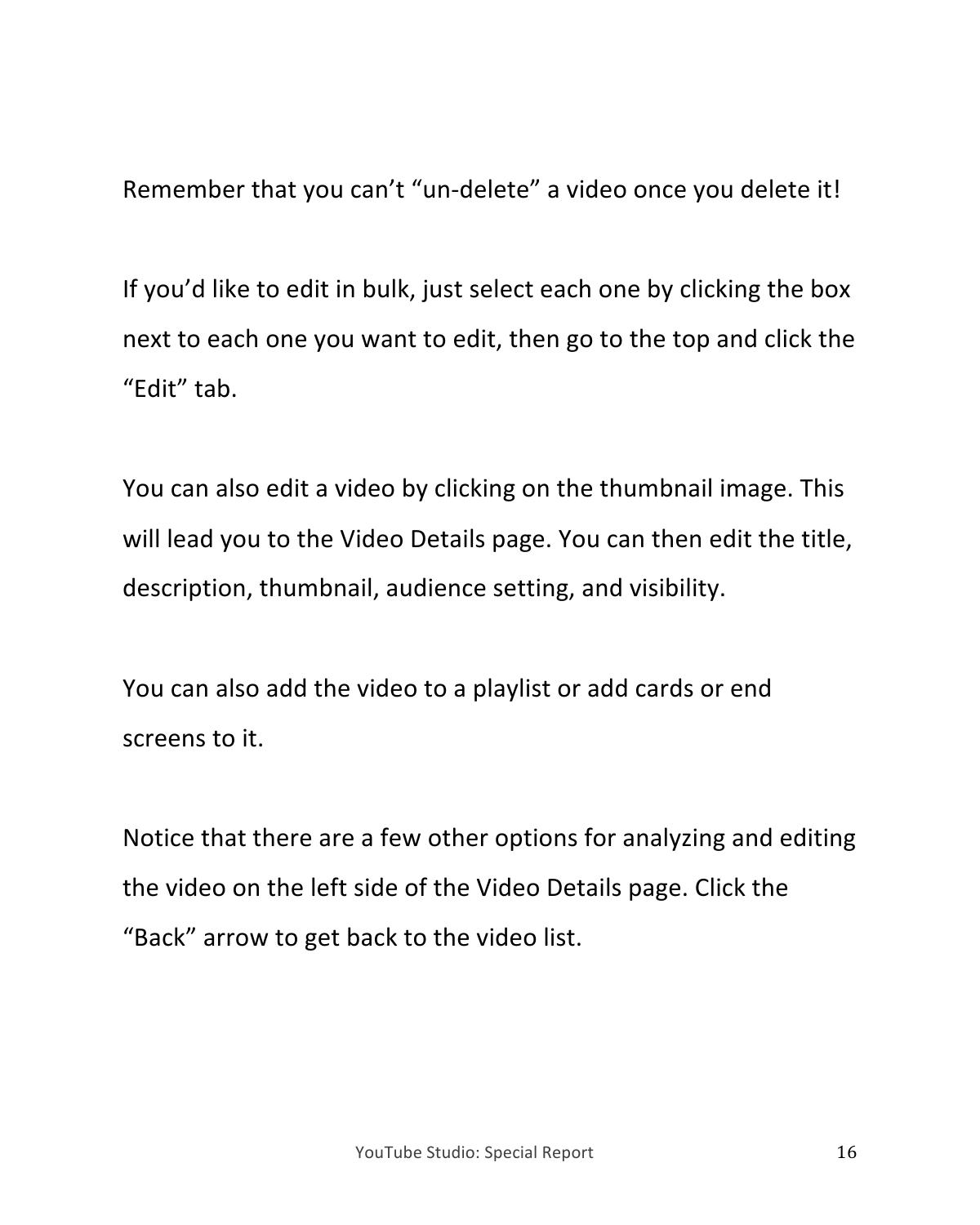Remember that you can't "un-delete" a video once you delete it!

If you'd like to edit in bulk, just select each one by clicking the box next to each one you want to edit, then go to the top and click the "Edit" tab.

You can also edit a video by clicking on the thumbnail image. This will lead you to the Video Details page. You can then edit the title, description, thumbnail, audience setting, and visibility.

You can also add the video to a playlist or add cards or end screens to it.

Notice that there are a few other options for analyzing and editing the video on the left side of the Video Details page. Click the "Back" arrow to get back to the video list.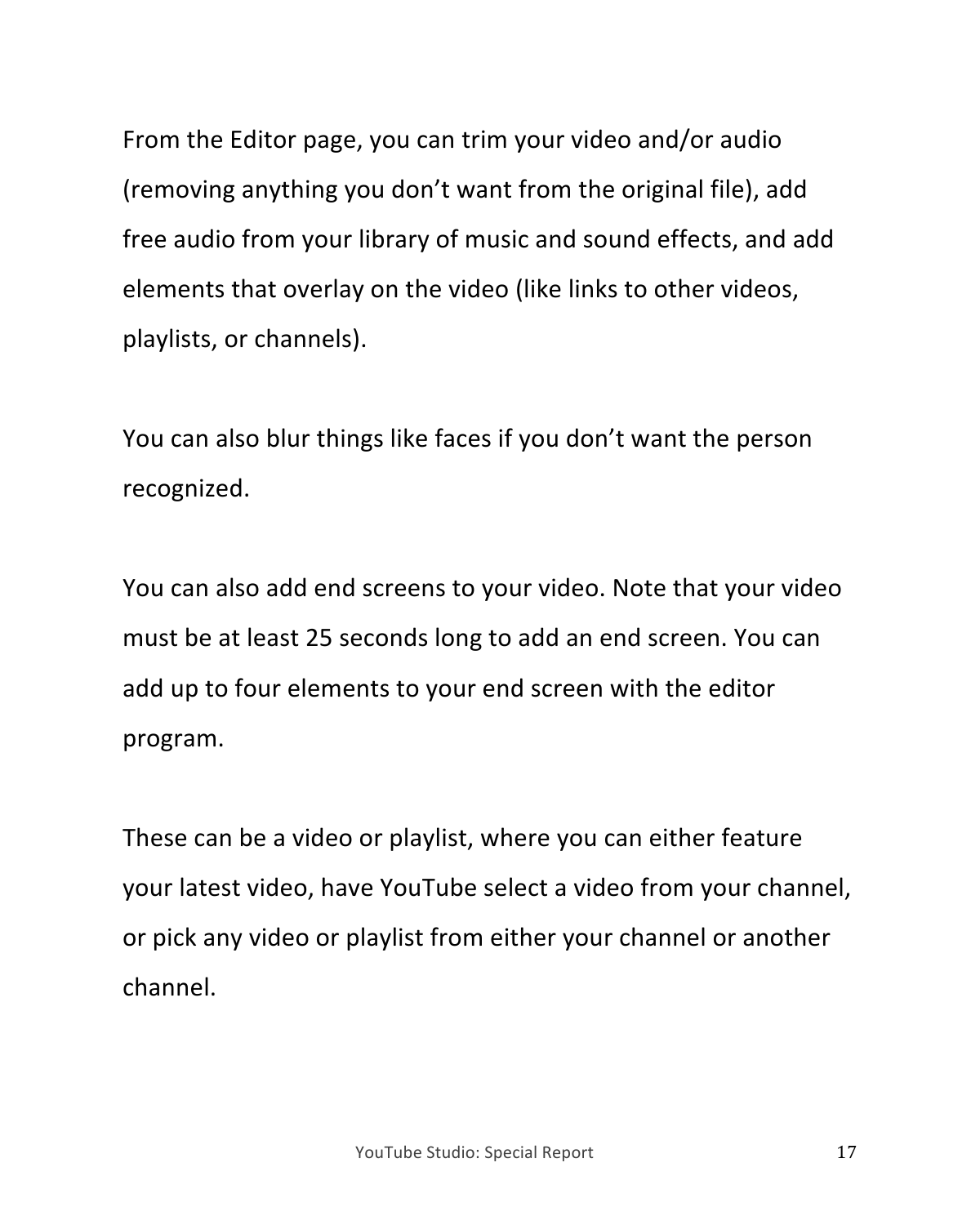From the Editor page, you can trim your video and/or audio (removing anything you don't want from the original file), add free audio from your library of music and sound effects, and add elements that overlay on the video (like links to other videos, playlists, or channels).

You can also blur things like faces if you don't want the person recognized.

You can also add end screens to your video. Note that your video must be at least 25 seconds long to add an end screen. You can add up to four elements to your end screen with the editor program. 

These can be a video or playlist, where you can either feature your latest video, have YouTube select a video from your channel, or pick any video or playlist from either your channel or another channel.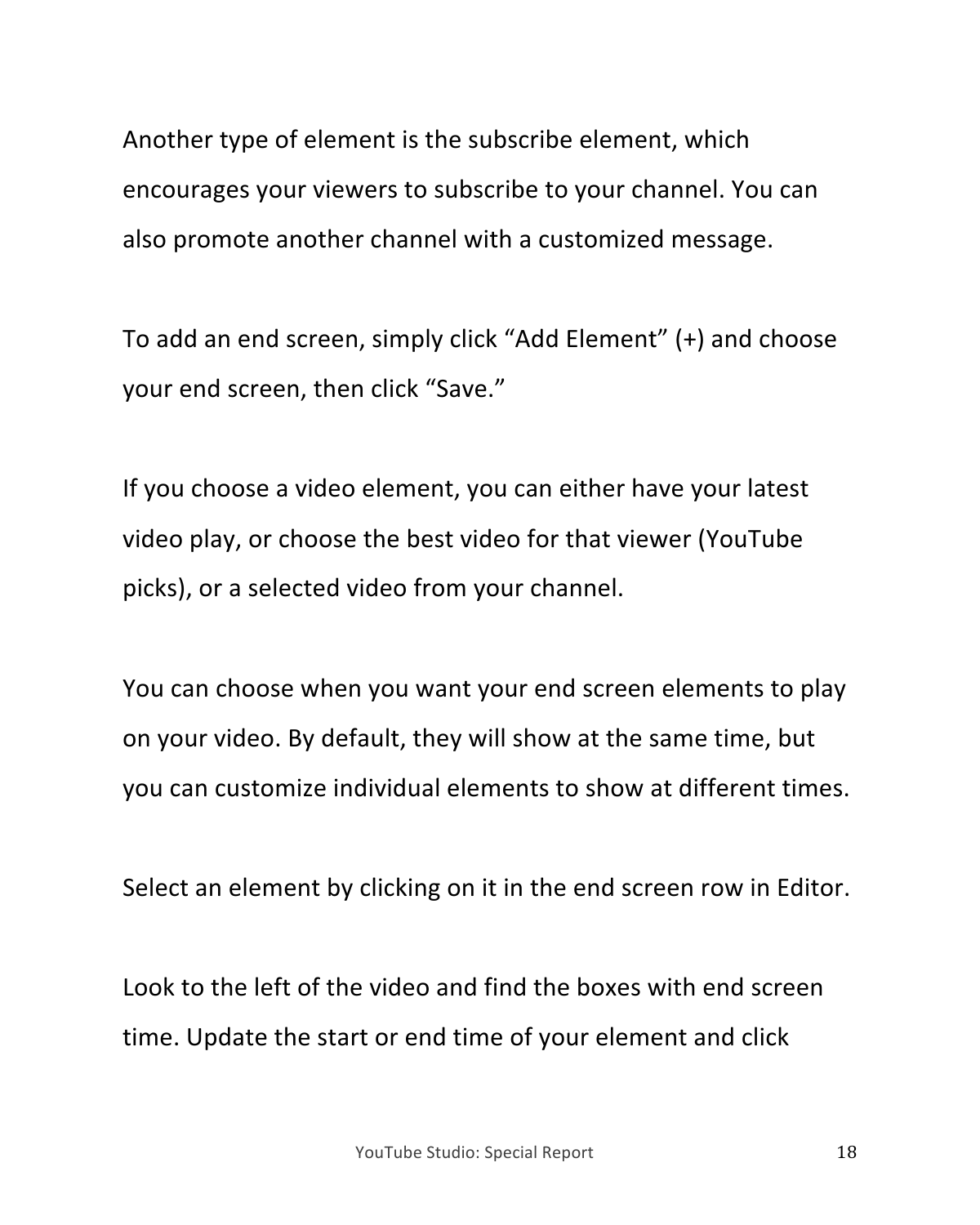Another type of element is the subscribe element, which encourages your viewers to subscribe to your channel. You can also promote another channel with a customized message.

To add an end screen, simply click "Add Element" (+) and choose your end screen, then click "Save."

If you choose a video element, you can either have your latest video play, or choose the best video for that viewer (YouTube picks), or a selected video from your channel.

You can choose when you want your end screen elements to play on your video. By default, they will show at the same time, but you can customize individual elements to show at different times.

Select an element by clicking on it in the end screen row in Editor.

Look to the left of the video and find the boxes with end screen time. Update the start or end time of your element and click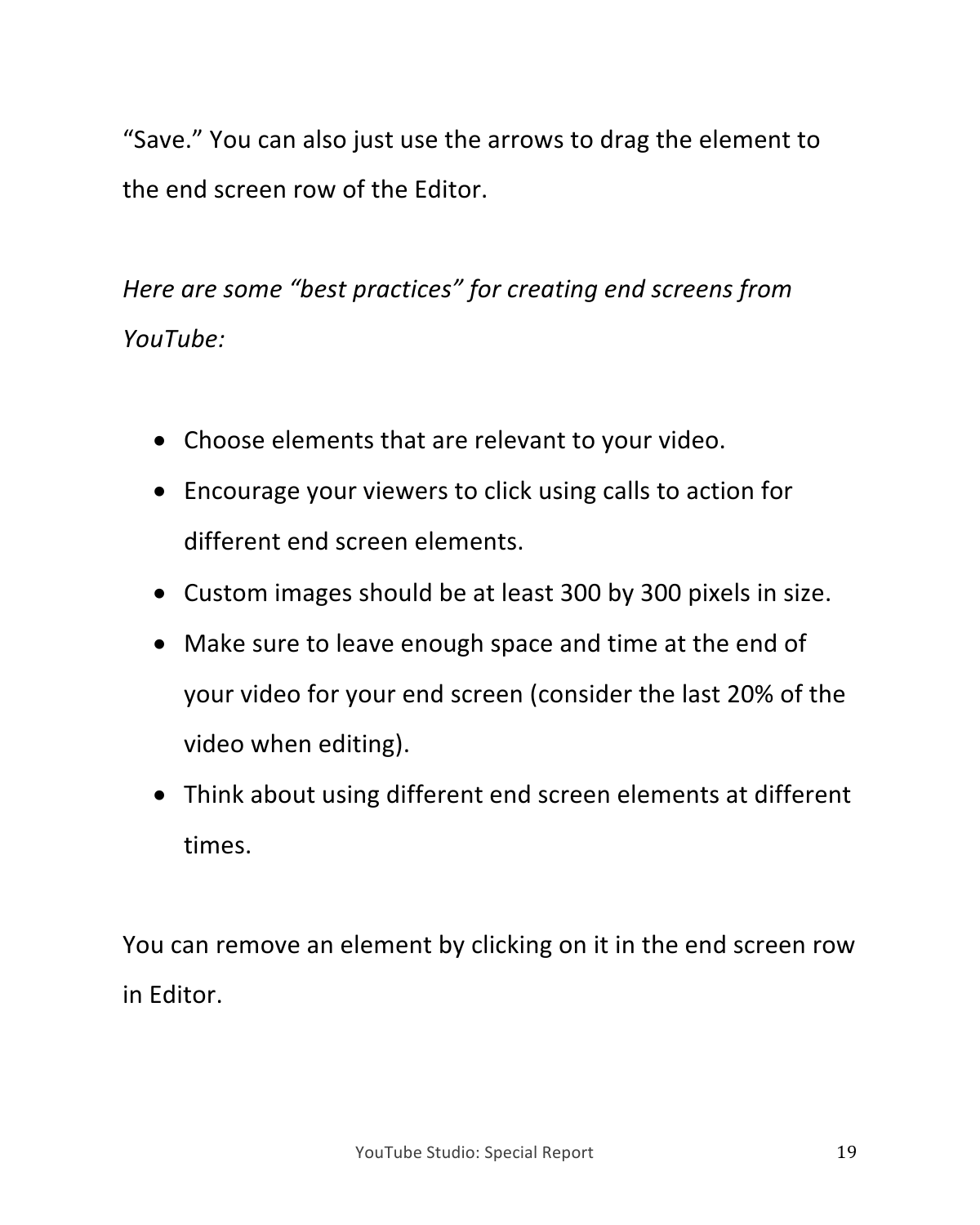"Save." You can also just use the arrows to drag the element to the end screen row of the Editor.

*Here are some "best practices" for creating end screens from YouTube:*

- Choose elements that are relevant to your video.
- Encourage your viewers to click using calls to action for different end screen elements.
- Custom images should be at least 300 by 300 pixels in size.
- Make sure to leave enough space and time at the end of your video for your end screen (consider the last 20% of the video when editing).
- Think about using different end screen elements at different times.

You can remove an element by clicking on it in the end screen row in Editor.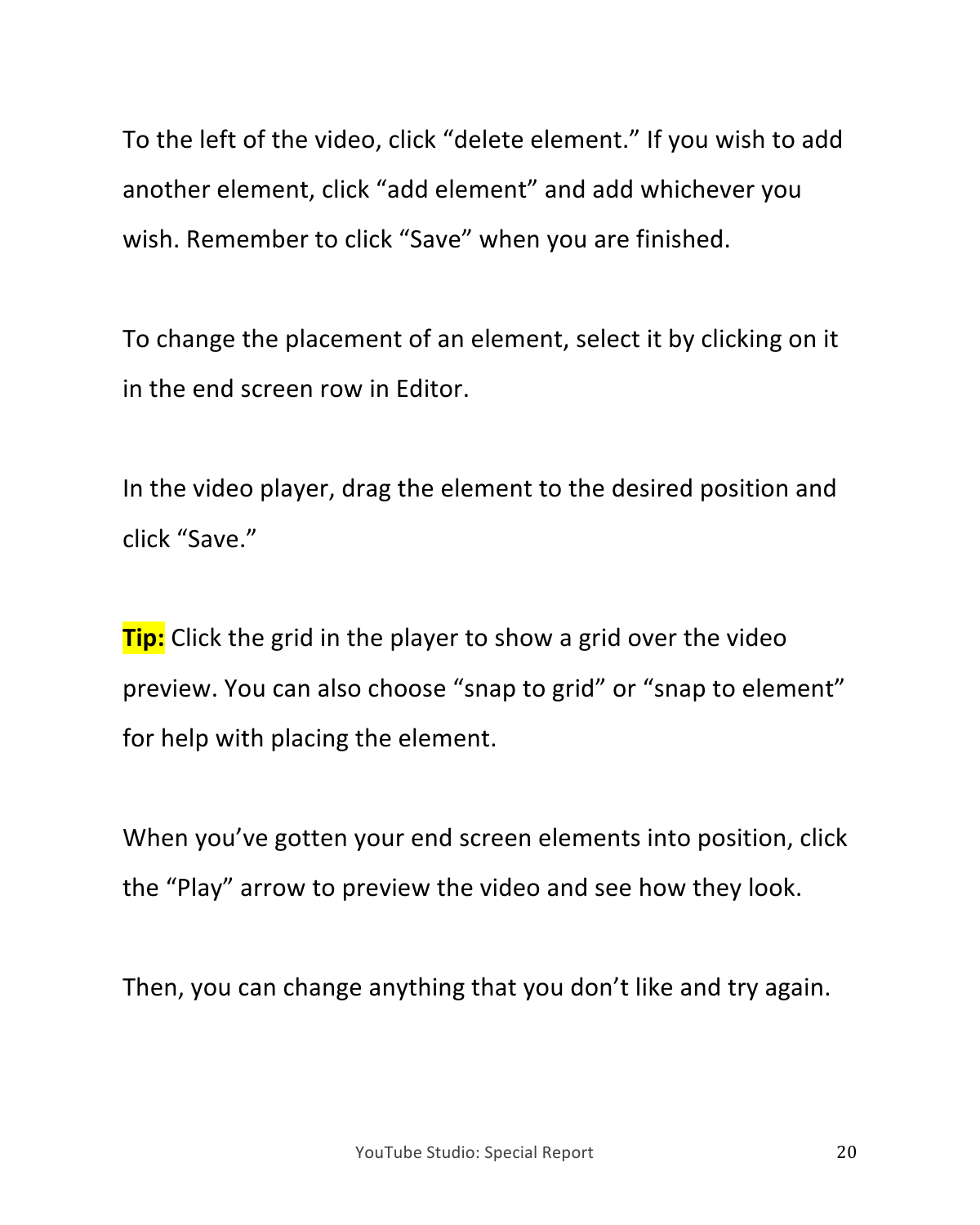To the left of the video, click "delete element." If you wish to add another element, click "add element" and add whichever you wish. Remember to click "Save" when you are finished.

To change the placement of an element, select it by clicking on it in the end screen row in Editor.

In the video player, drag the element to the desired position and click "Save." 

**Tip:** Click the grid in the player to show a grid over the video preview. You can also choose "snap to grid" or "snap to element" for help with placing the element.

When you've gotten your end screen elements into position, click the "Play" arrow to preview the video and see how they look.

Then, you can change anything that you don't like and try again.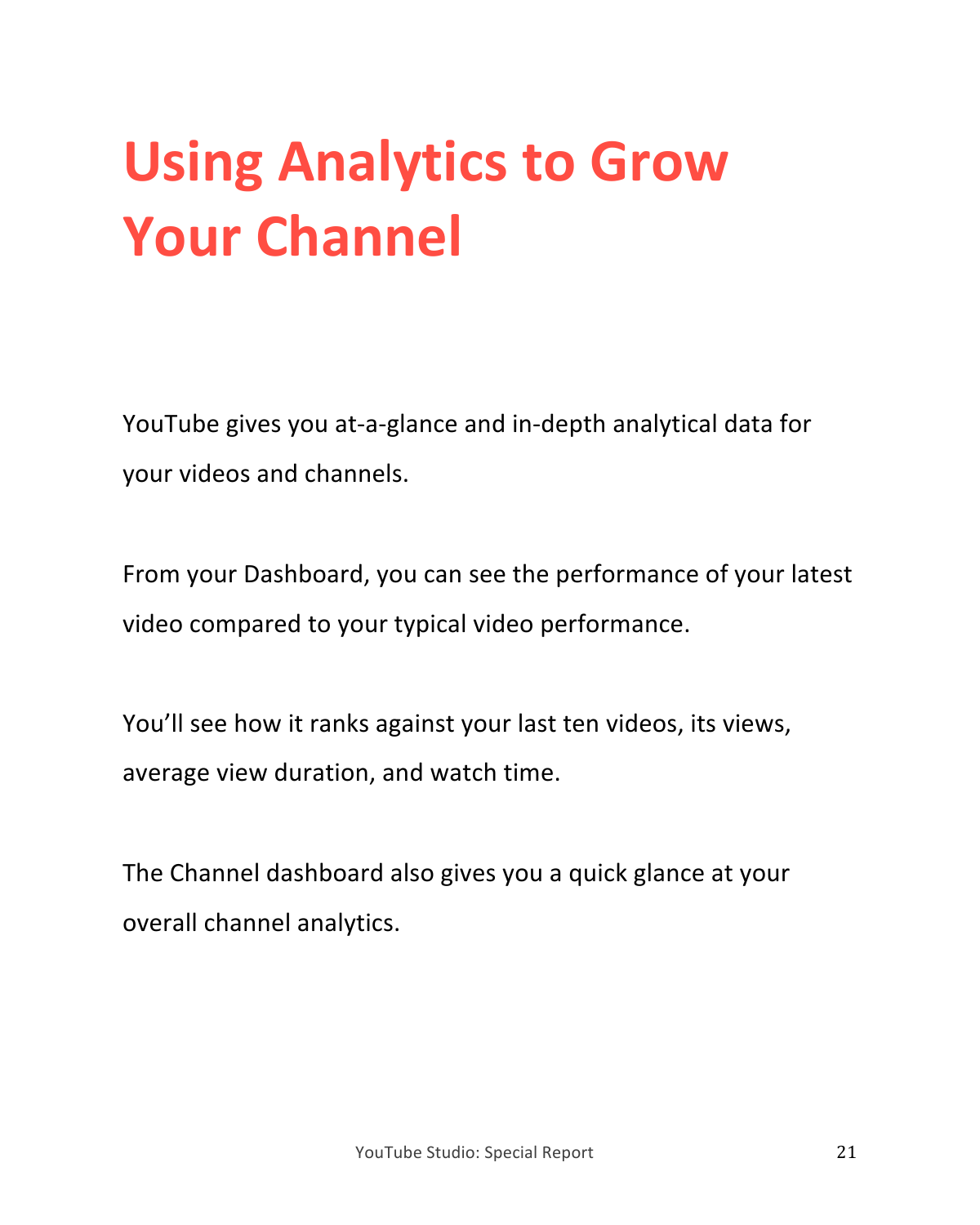# **Using Analytics to Grow Your Channel**

YouTube gives you at-a-glance and in-depth analytical data for your videos and channels.

From your Dashboard, you can see the performance of your latest video compared to your typical video performance.

You'll see how it ranks against your last ten videos, its views, average view duration, and watch time.

The Channel dashboard also gives you a quick glance at your overall channel analytics.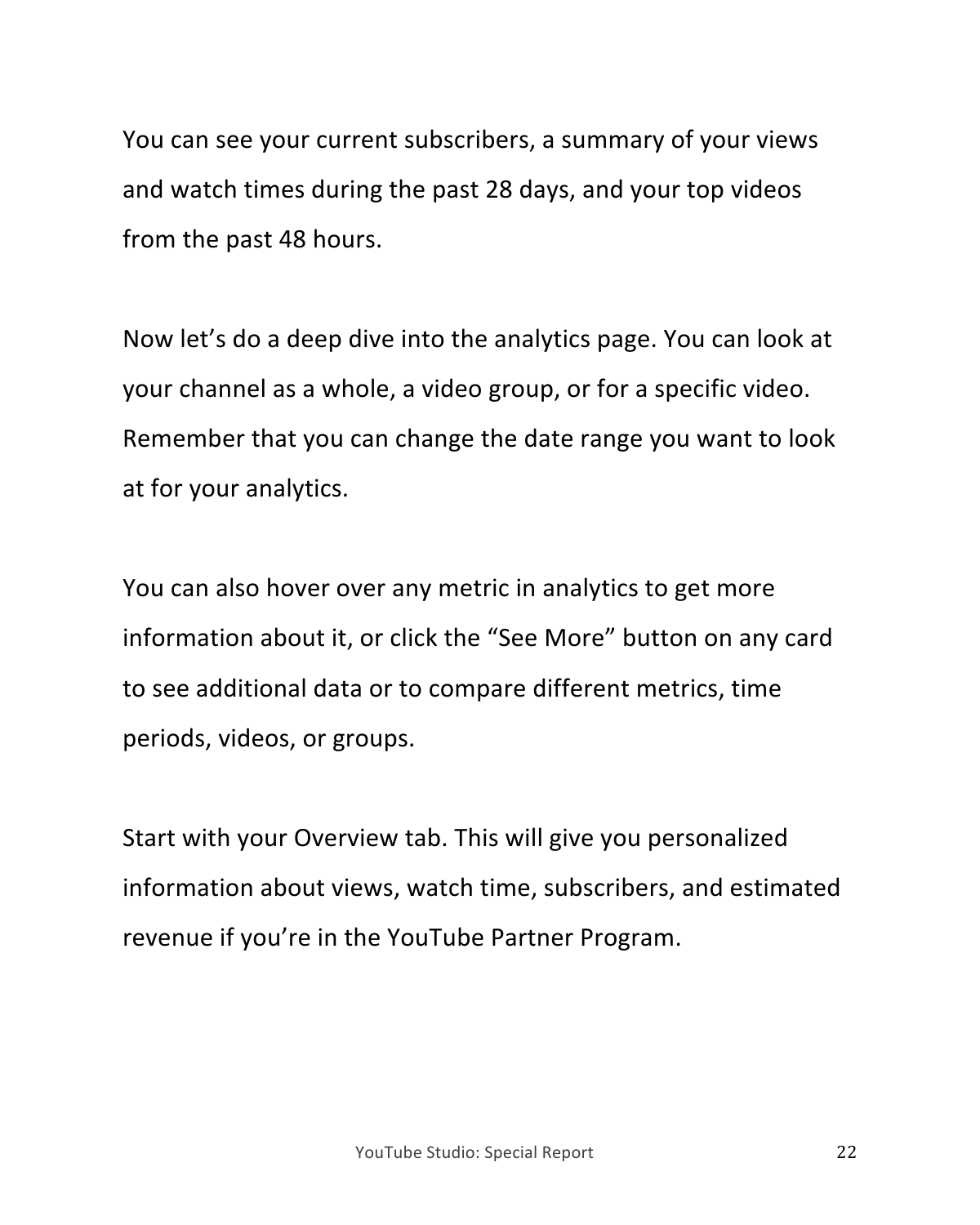You can see your current subscribers, a summary of your views and watch times during the past 28 days, and your top videos from the past 48 hours.

Now let's do a deep dive into the analytics page. You can look at your channel as a whole, a video group, or for a specific video. Remember that you can change the date range you want to look at for your analytics.

You can also hover over any metric in analytics to get more information about it, or click the "See More" button on any card to see additional data or to compare different metrics, time periods, videos, or groups.

Start with your Overview tab. This will give you personalized information about views, watch time, subscribers, and estimated revenue if you're in the YouTube Partner Program.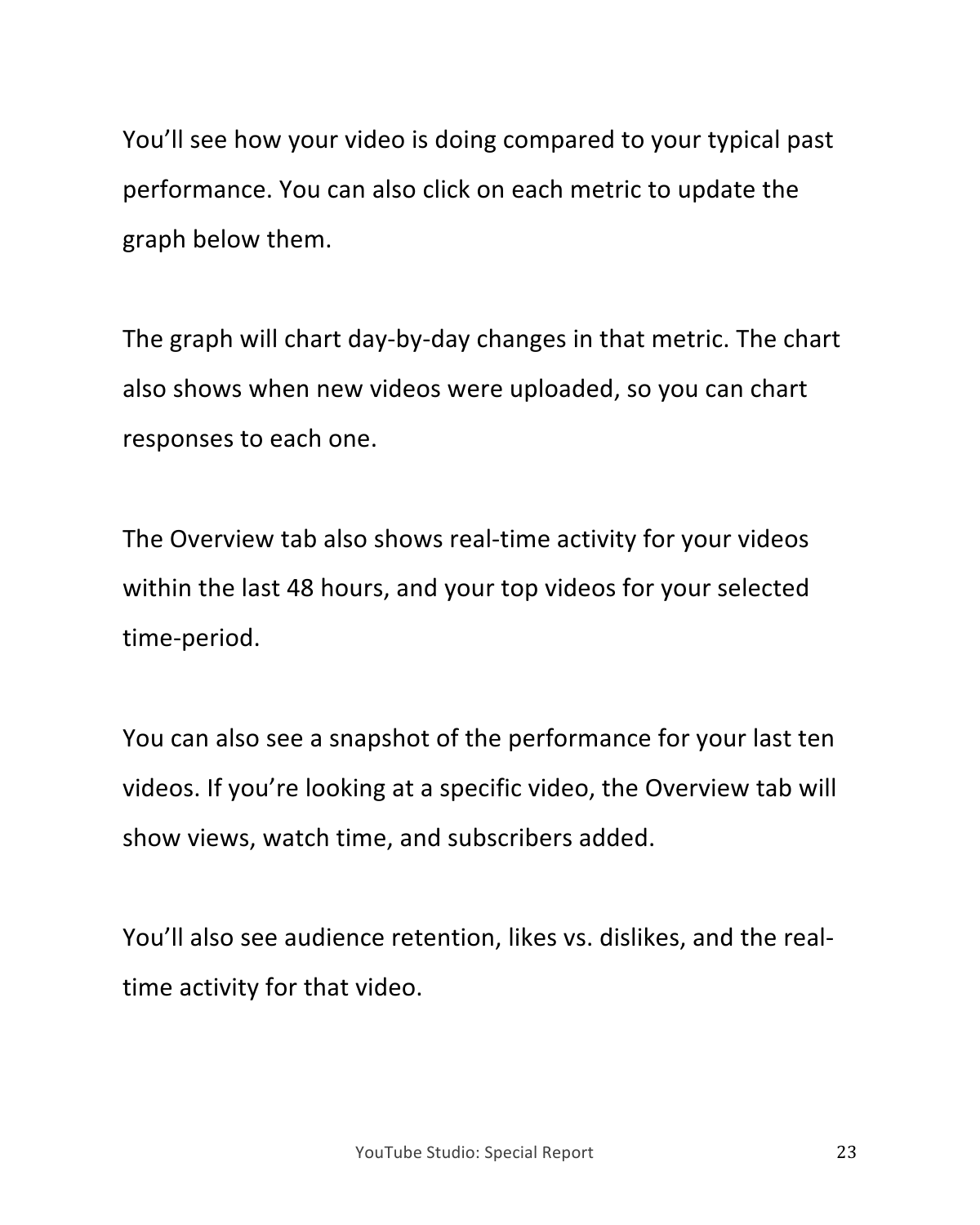You'll see how your video is doing compared to your typical past performance. You can also click on each metric to update the graph below them. 

The graph will chart day-by-day changes in that metric. The chart also shows when new videos were uploaded, so you can chart responses to each one.

The Overview tab also shows real-time activity for your videos within the last 48 hours, and your top videos for your selected time-period. 

You can also see a snapshot of the performance for your last ten videos. If you're looking at a specific video, the Overview tab will show views, watch time, and subscribers added.

You'll also see audience retention, likes vs. dislikes, and the realtime activity for that video.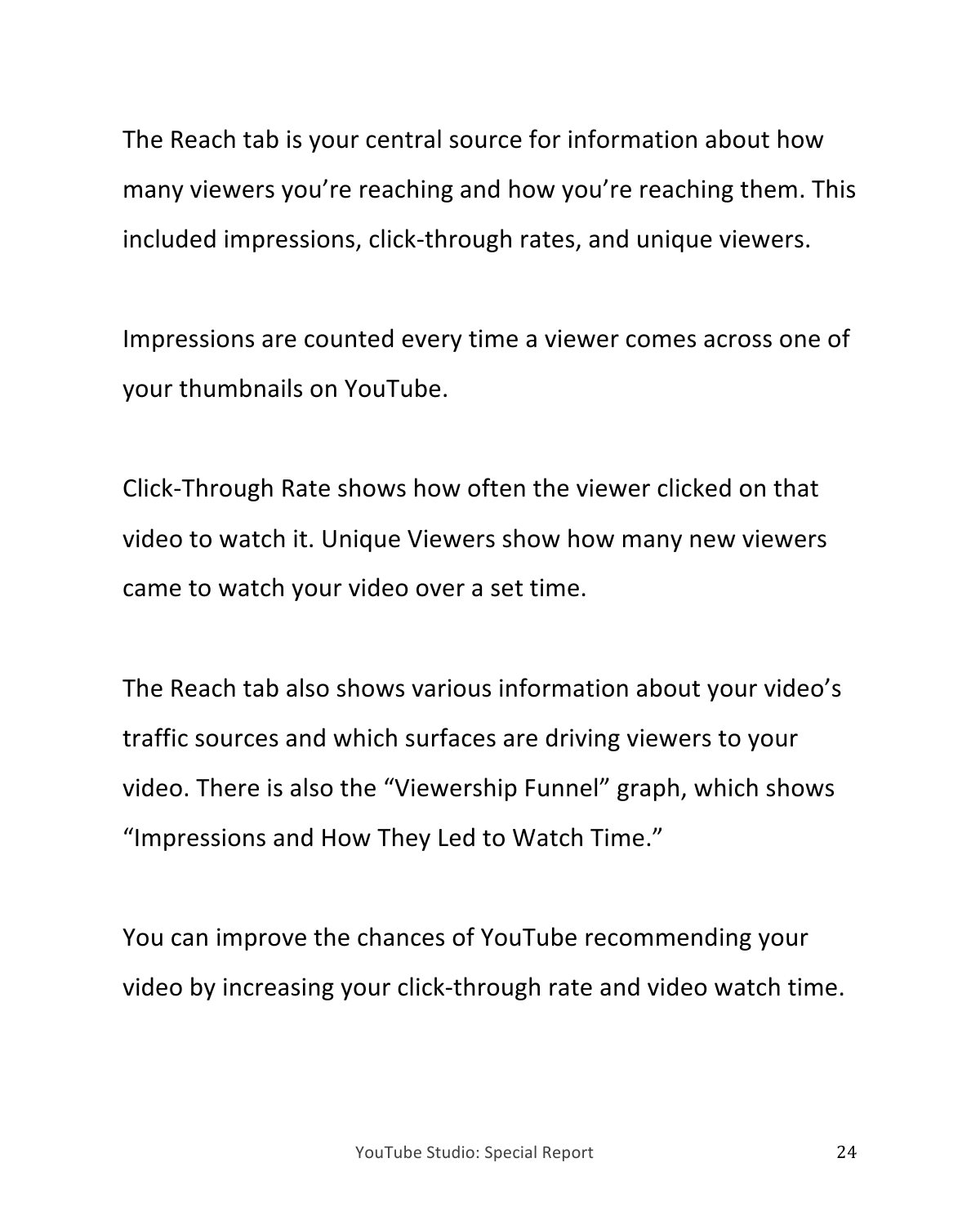The Reach tab is your central source for information about how many viewers you're reaching and how you're reaching them. This included impressions, click-through rates, and unique viewers.

Impressions are counted every time a viewer comes across one of your thumbnails on YouTube.

Click-Through Rate shows how often the viewer clicked on that video to watch it. Unique Viewers show how many new viewers came to watch your video over a set time.

The Reach tab also shows various information about your video's traffic sources and which surfaces are driving viewers to your video. There is also the "Viewership Funnel" graph, which shows "Impressions and How They Led to Watch Time."

You can improve the chances of YouTube recommending your video by increasing your click-through rate and video watch time.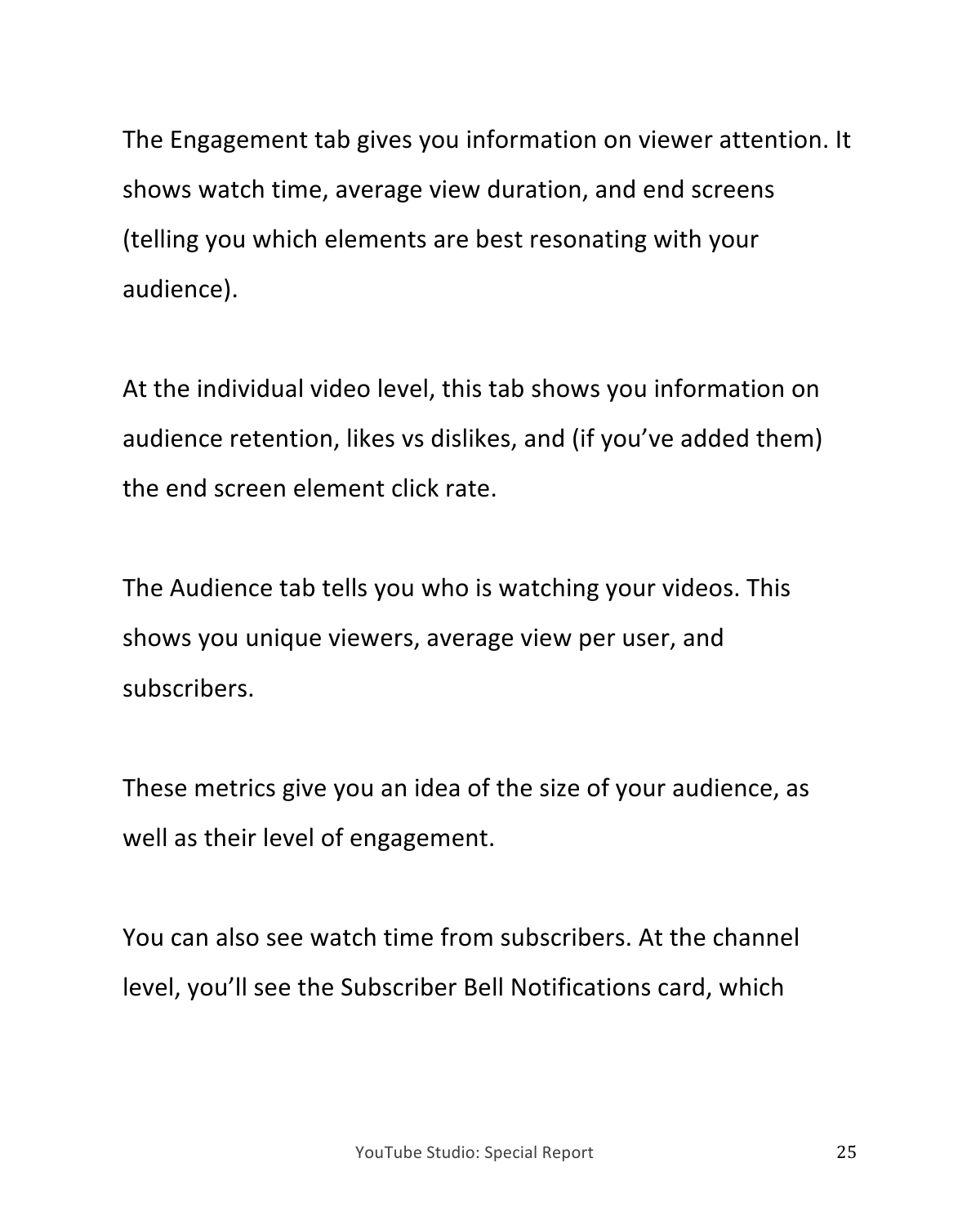The Engagement tab gives you information on viewer attention. It shows watch time, average view duration, and end screens (telling you which elements are best resonating with your audience). 

At the individual video level, this tab shows you information on audience retention, likes vs dislikes, and (if you've added them) the end screen element click rate.

The Audience tab tells you who is watching your videos. This shows you unique viewers, average view per user, and subscribers. 

These metrics give you an idea of the size of your audience, as well as their level of engagement.

You can also see watch time from subscribers. At the channel level, you'll see the Subscriber Bell Notifications card, which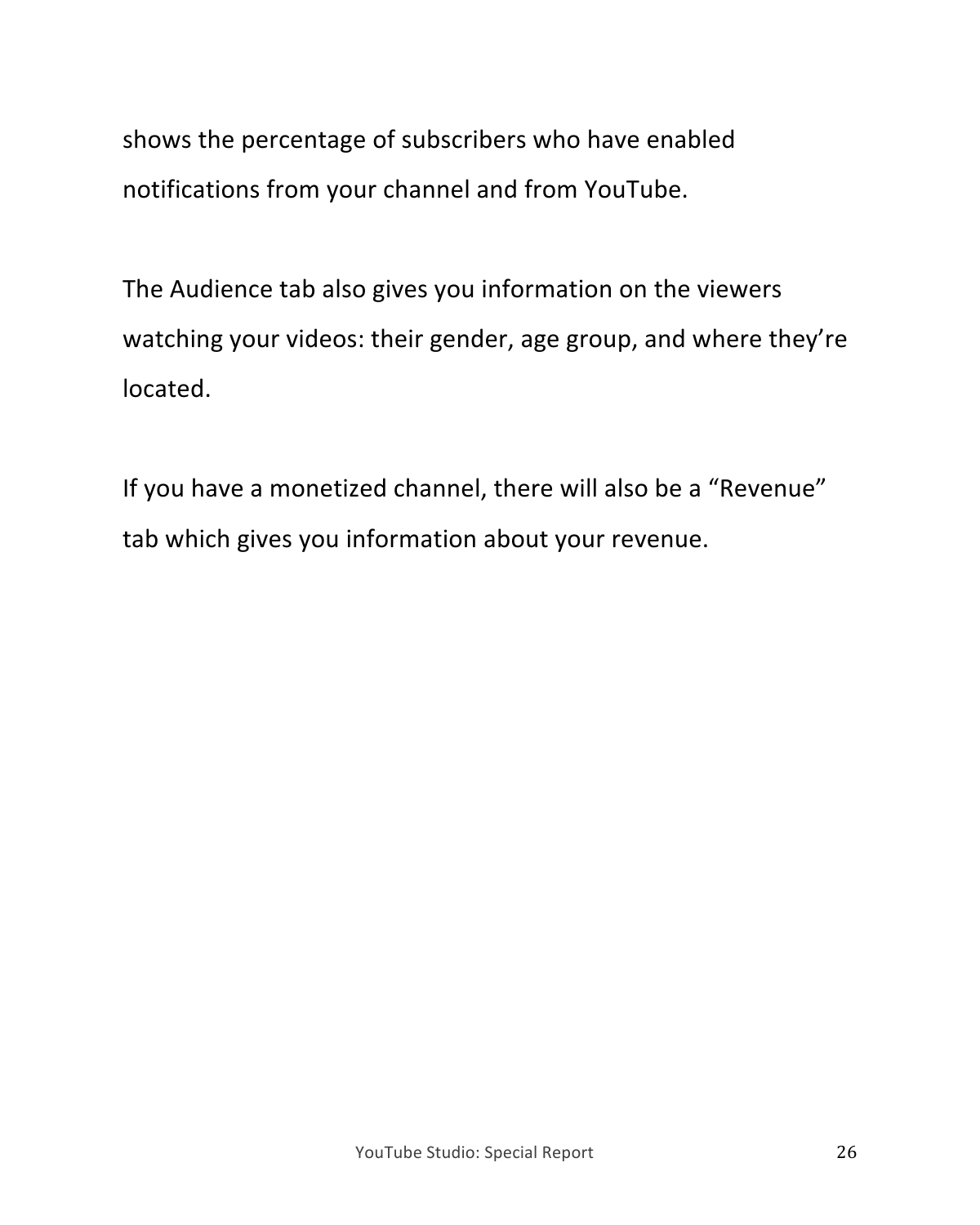shows the percentage of subscribers who have enabled notifications from your channel and from YouTube.

The Audience tab also gives you information on the viewers watching your videos: their gender, age group, and where they're located. 

If you have a monetized channel, there will also be a "Revenue" tab which gives you information about your revenue.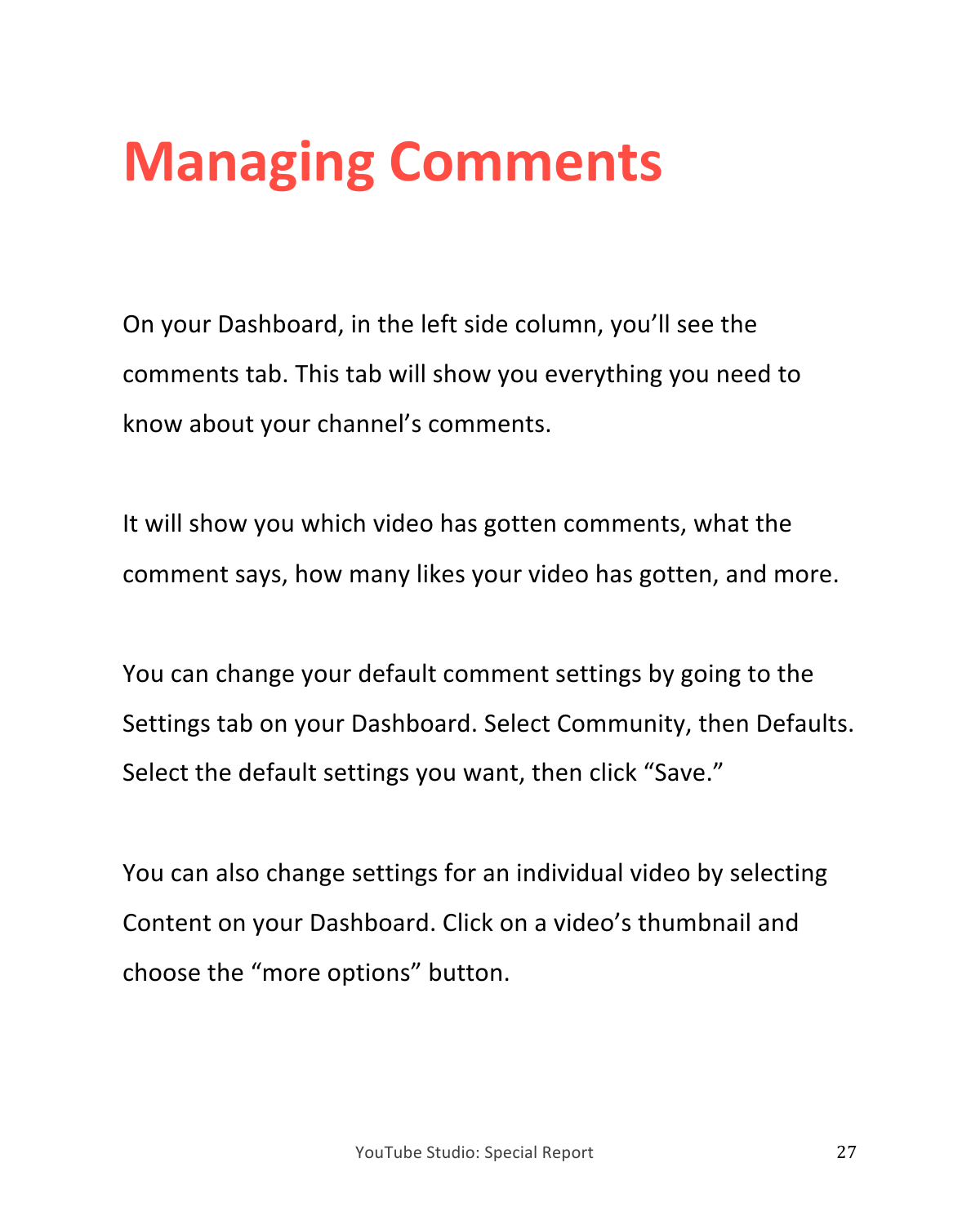## **Managing Comments**

On your Dashboard, in the left side column, you'll see the comments tab. This tab will show you everything you need to know about your channel's comments.

It will show you which video has gotten comments, what the comment says, how many likes your video has gotten, and more.

You can change your default comment settings by going to the Settings tab on your Dashboard. Select Community, then Defaults. Select the default settings you want, then click "Save."

You can also change settings for an individual video by selecting Content on your Dashboard. Click on a video's thumbnail and choose the "more options" button.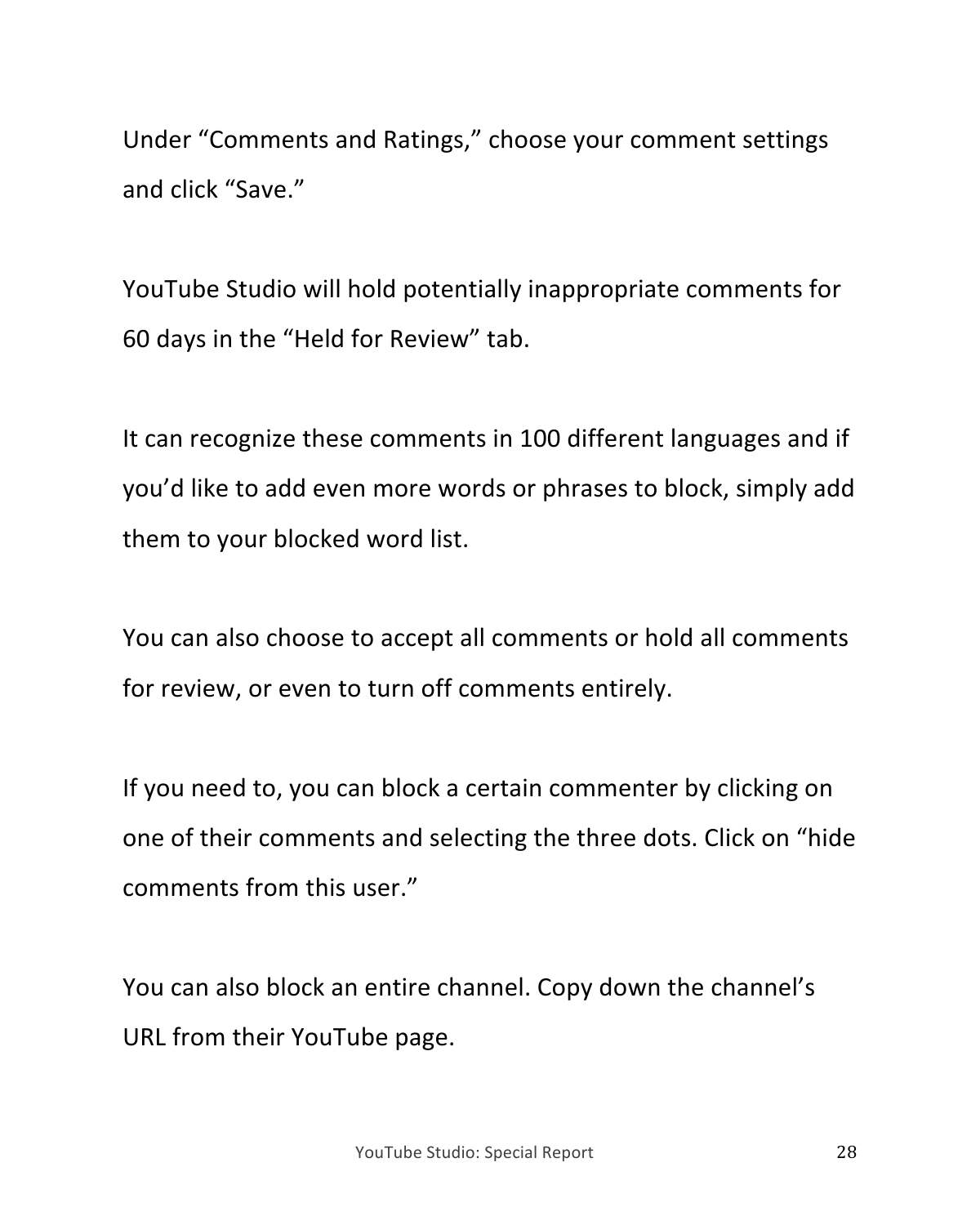Under "Comments and Ratings," choose your comment settings and click "Save."

YouTube Studio will hold potentially inappropriate comments for 60 days in the "Held for Review" tab.

It can recognize these comments in 100 different languages and if you'd like to add even more words or phrases to block, simply add them to your blocked word list.

You can also choose to accept all comments or hold all comments for review, or even to turn off comments entirely.

If you need to, you can block a certain commenter by clicking on one of their comments and selecting the three dots. Click on "hide comments from this user."

You can also block an entire channel. Copy down the channel's URL from their YouTube page.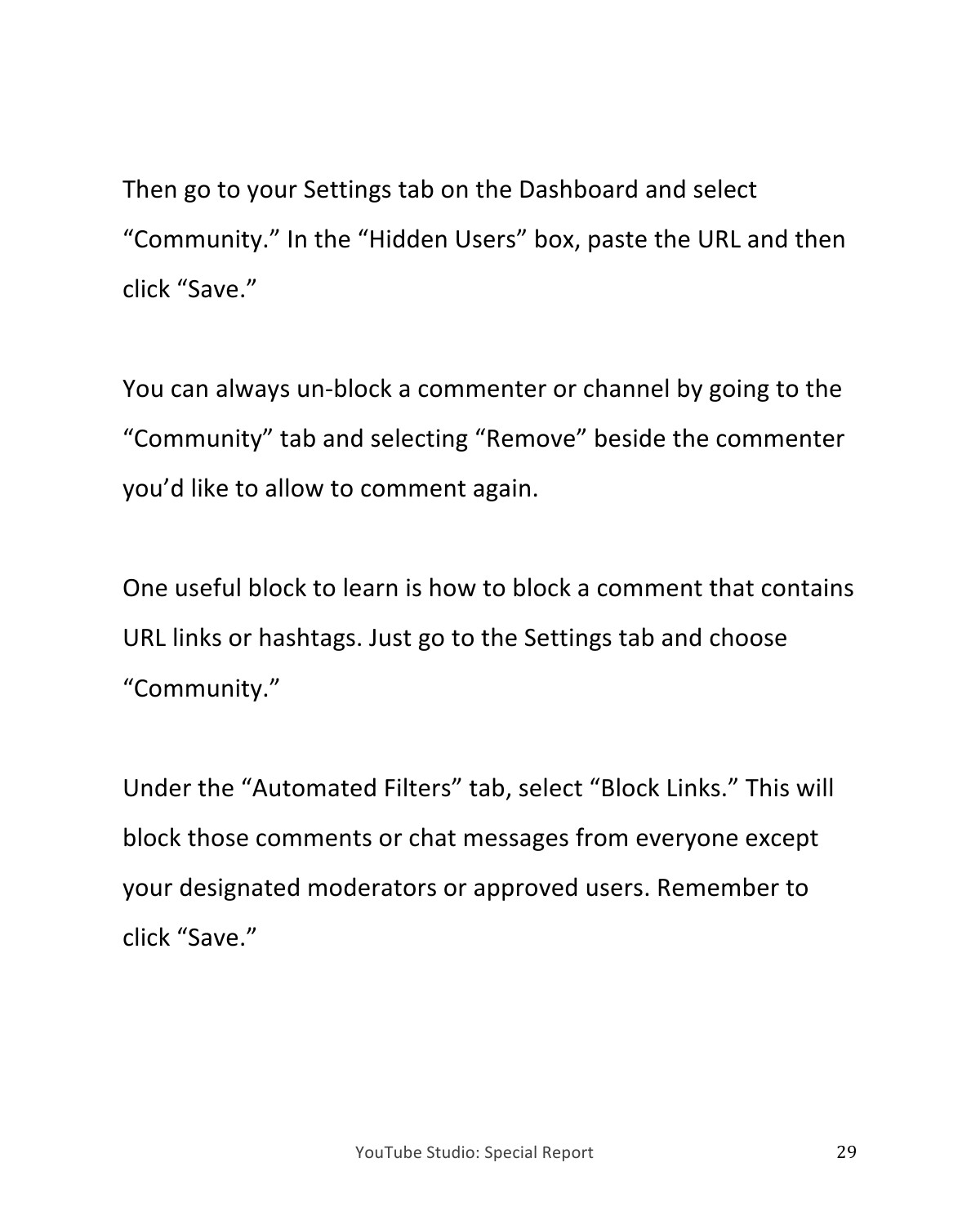Then go to your Settings tab on the Dashboard and select "Community." In the "Hidden Users" box, paste the URL and then click "Save." 

You can always un-block a commenter or channel by going to the "Community" tab and selecting "Remove" beside the commenter you'd like to allow to comment again.

One useful block to learn is how to block a comment that contains URL links or hashtags. Just go to the Settings tab and choose "Community." 

Under the "Automated Filters" tab, select "Block Links." This will block those comments or chat messages from everyone except your designated moderators or approved users. Remember to click "Save."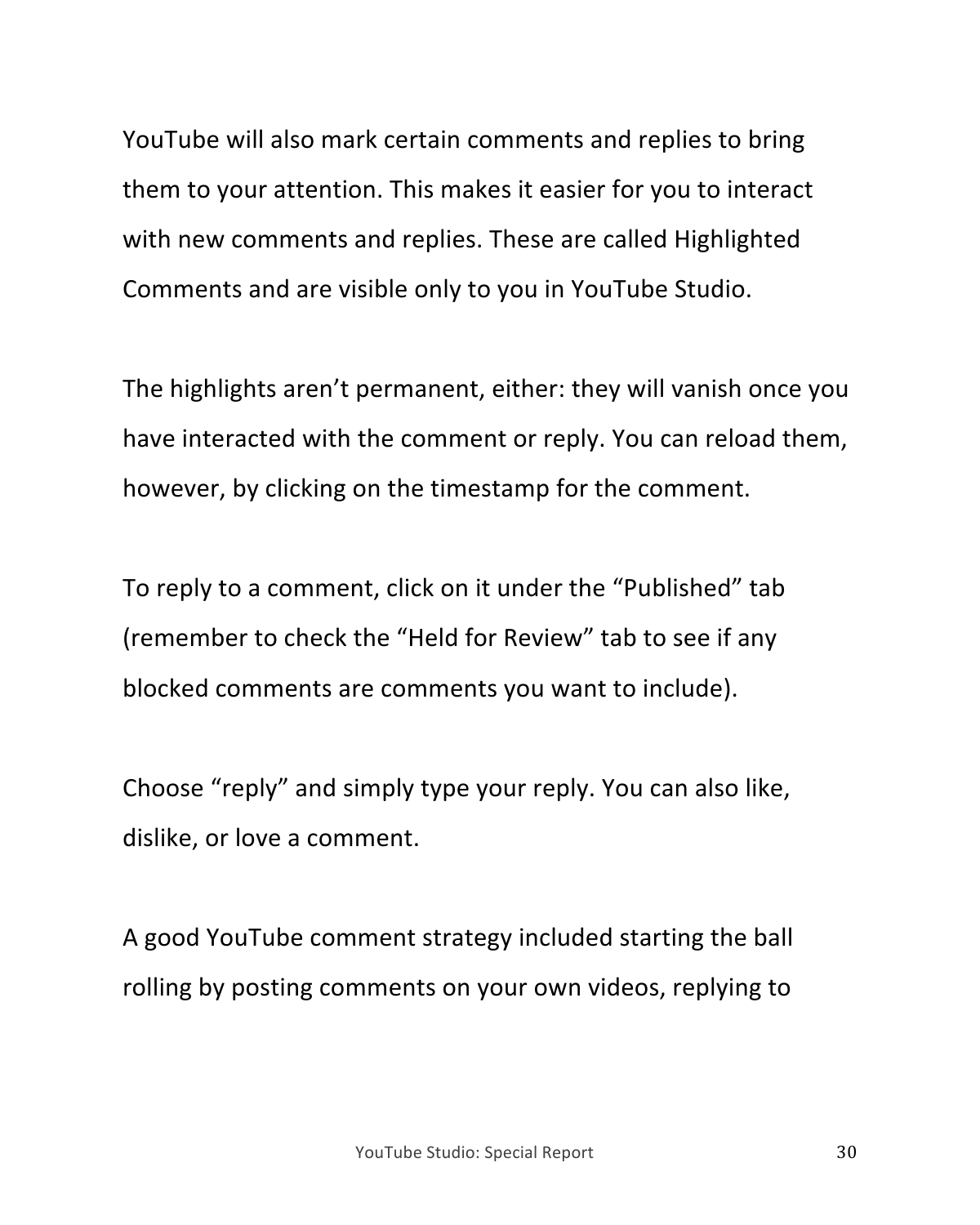YouTube will also mark certain comments and replies to bring them to your attention. This makes it easier for you to interact with new comments and replies. These are called Highlighted Comments and are visible only to you in YouTube Studio.

The highlights aren't permanent, either: they will vanish once you have interacted with the comment or reply. You can reload them, however, by clicking on the timestamp for the comment.

To reply to a comment, click on it under the "Published" tab (remember to check the "Held for Review" tab to see if any blocked comments are comments you want to include).

Choose "reply" and simply type your reply. You can also like, dislike, or love a comment.

A good YouTube comment strategy included starting the ball rolling by posting comments on your own videos, replying to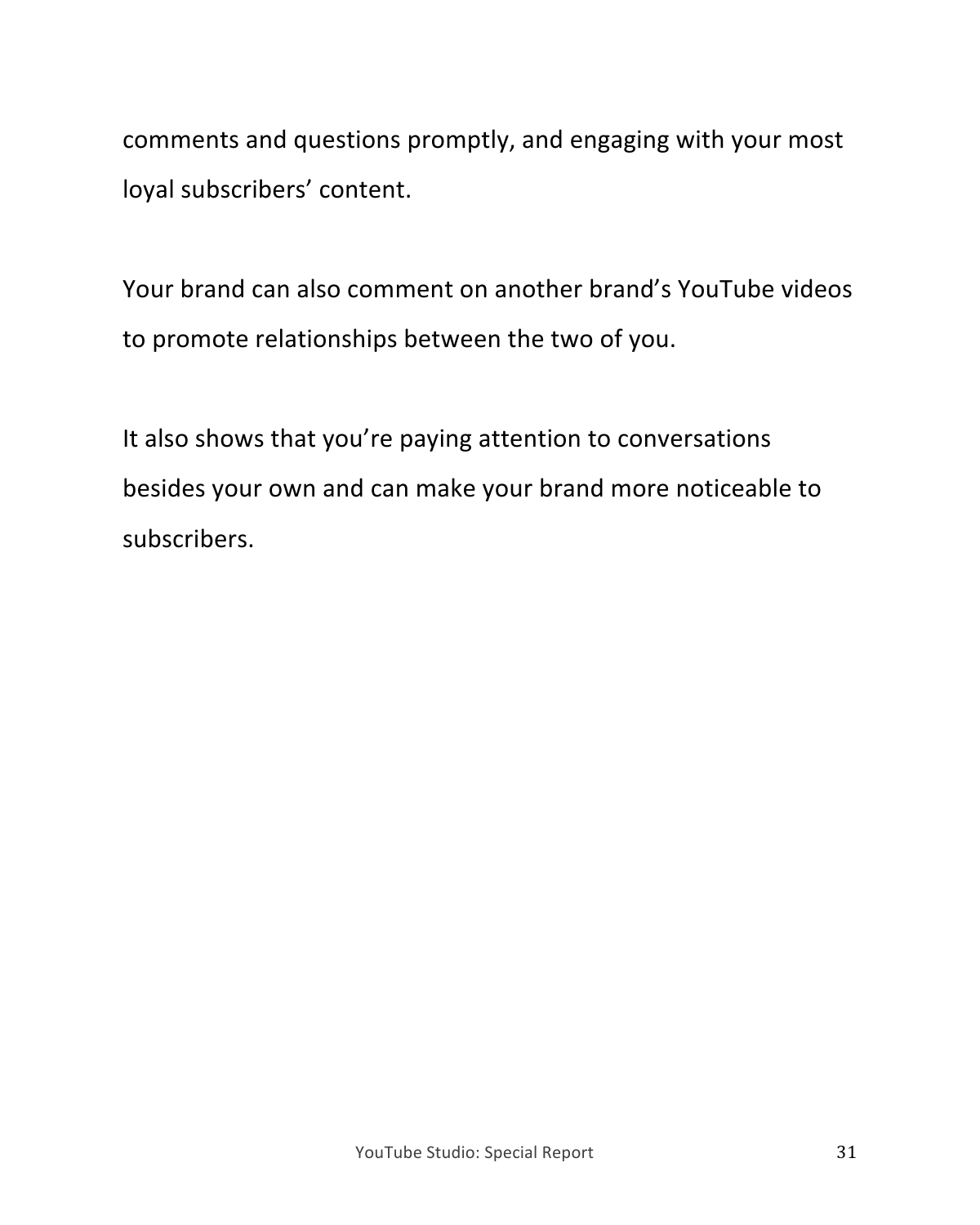comments and questions promptly, and engaging with your most loyal subscribers' content.

Your brand can also comment on another brand's YouTube videos to promote relationships between the two of you.

It also shows that you're paying attention to conversations besides your own and can make your brand more noticeable to subscribers.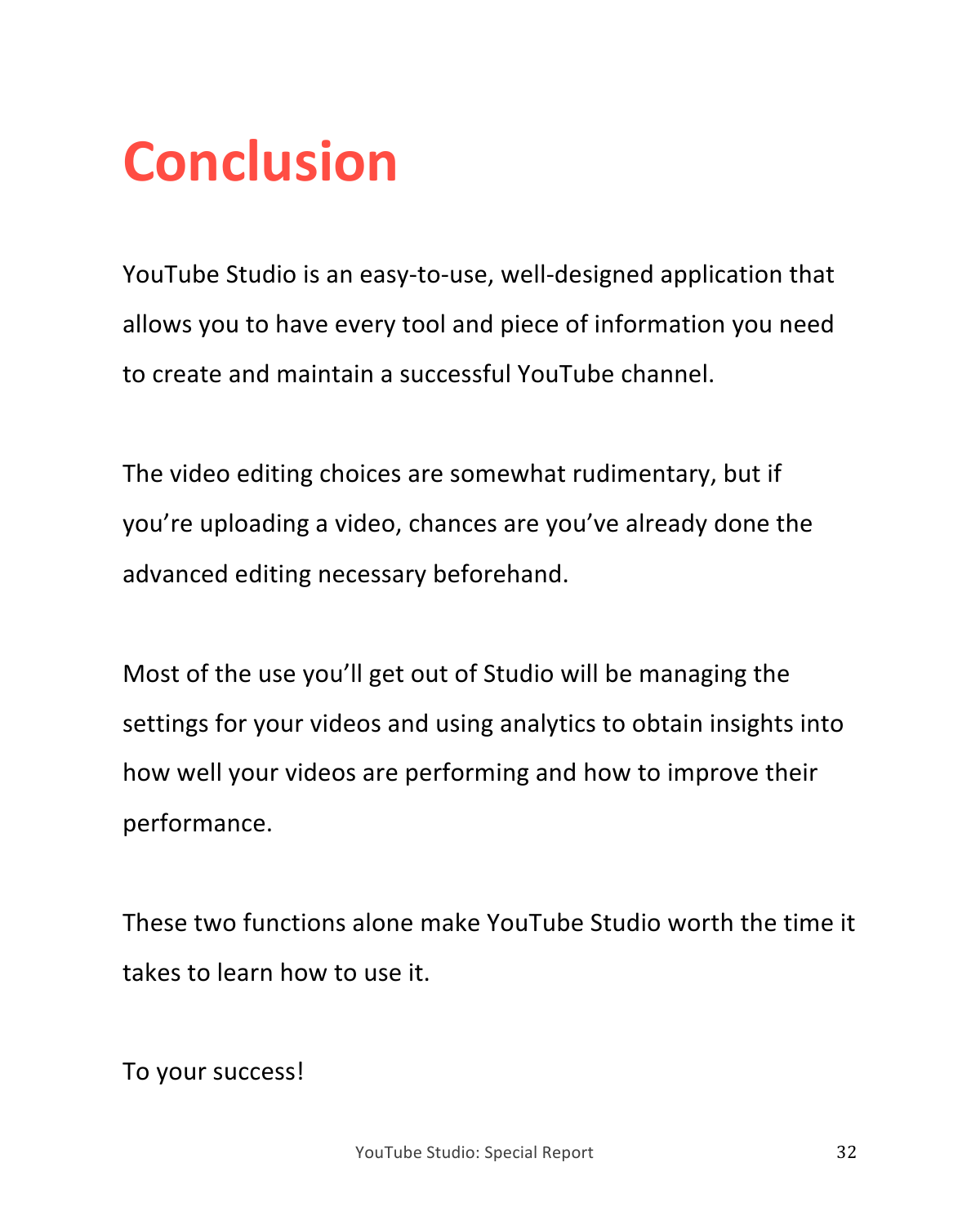## **Conclusion**

YouTube Studio is an easy-to-use, well-designed application that allows you to have every tool and piece of information you need to create and maintain a successful YouTube channel.

The video editing choices are somewhat rudimentary, but if you're uploading a video, chances are you've already done the advanced editing necessary beforehand.

Most of the use you'll get out of Studio will be managing the settings for your videos and using analytics to obtain insights into how well your videos are performing and how to improve their performance. 

These two functions alone make YouTube Studio worth the time it takes to learn how to use it.

To your success!